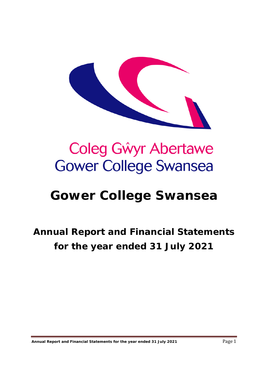

# Coleg Gŵyr Abertawe **Gower College Swansea**

# **Gower College Swansea**

# **Annual Report and Financial Statements for the year ended 31 July 2021**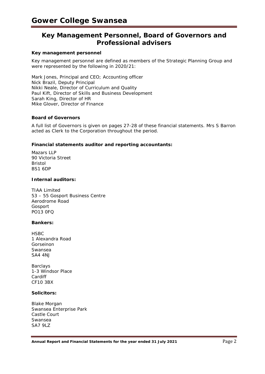# **Key Management Personnel, Board of Governors and Professional advisers**

#### **Key management personnel**

Key management personnel are defined as members of the Strategic Planning Group and were represented by the following in 2020/21:

Mark Jones, Principal and CEO; Accounting officer Nick Brazil, Deputy Principal Nikki Neale, Director of Curriculum and Quality Paul Kift, Director of Skills and Business Development Sarah King, Director of HR Mike Glover, Director of Finance

#### **Board of Governors**

A full list of Governors is given on pages 27-28 of these financial statements. Mrs S Barron acted as Clerk to the Corporation throughout the period.

#### **Financial statements auditor and reporting accountants:**

Mazars LLP 90 Victoria Street Bristol BS1 6DP

#### **Internal auditors:**

TIAA Limited 53 – 55 Gosport Business Centre Aerodrome Road Gosport PO13 0FQ

#### **Bankers:**

**HSBC** 1 Alexandra Road Gorseinon Swansea SA4 4NJ

Barclays 1-3 Windsor Place Cardiff CF10 3BX

#### **Solicitors:**

Blake Morgan Swansea Enterprise Park Castle Court Swansea SA7 9LZ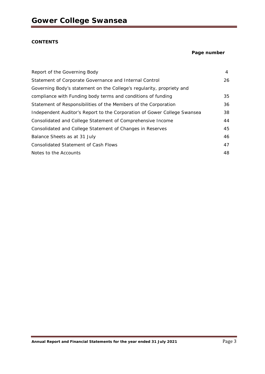#### **CONTENTS**

#### **Page number**

| Report of the Governing Body                                             | $\overline{4}$ |
|--------------------------------------------------------------------------|----------------|
| Statement of Corporate Governance and Internal Control                   | 26             |
| Governing Body's statement on the College's regularity, propriety and    |                |
| compliance with Funding body terms and conditions of funding             | 35             |
| Statement of Responsibilities of the Members of the Corporation          | 36             |
| Independent Auditor's Report to the Corporation of Gower College Swansea | 38             |
| Consolidated and College Statement of Comprehensive Income               | 44             |
| Consolidated and College Statement of Changes in Reserves                | 45             |
| Balance Sheets as at 31 July                                             | 46             |
| <b>Consolidated Statement of Cash Flows</b>                              | 47             |
| Notes to the Accounts                                                    | 48             |
|                                                                          |                |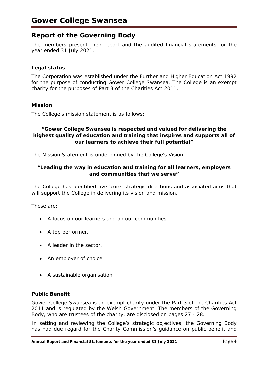# **Report of the Governing Body**

The members present their report and the audited financial statements for the year ended 31 July 2021.

# **Legal status**

The Corporation was established under the Further and Higher Education Act 1992 for the purpose of conducting Gower College Swansea. The College is an exempt charity for the purposes of Part 3 of the Charities Act 2011.

## **Mission**

The College's mission statement is as follows:

## **"Gower College Swansea is respected and valued for delivering the highest quality of education and training that inspires and supports all of our learners to achieve their full potential"**

The Mission Statement is underpinned by the College's Vision:

## **"Leading the way in education and training for all learners, employers and communities that we serve"**

The College has identified five 'core' strategic directions and associated aims that will support the College in delivering its vision and mission.

These are:

- A focus on our learners and on our communities.
- A top performer.
- A leader in the sector.
- An employer of choice.
- A sustainable organisation

## **Public Benefit**

Gower College Swansea is an exempt charity under the Part 3 of the Charities Act 2011 and is regulated by the Welsh Government. The members of the Governing Body, who are trustees of the charity, are disclosed on pages 27 - 28.

In setting and reviewing the College's strategic objectives, the Governing Body has had due regard for the Charity Commission's guidance on public benefit and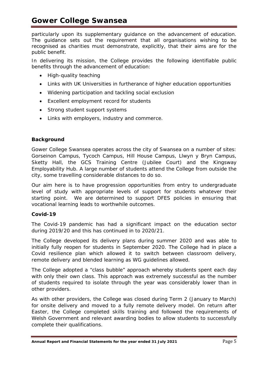particularly upon its supplementary guidance on the advancement of education. The guidance sets out the requirement that all organisations wishing to be recognised as charities must demonstrate, explicitly, that their aims are for the public benefit.

In delivering its mission, the College provides the following identifiable public benefits through the advancement of education:

- High-quality teaching
- Links with UK Universities in furtherance of higher education opportunities
- Widening participation and tackling social exclusion
- Excellent employment record for students
- Strong student support systems
- Links with employers, industry and commerce.

## **Background**

Gower College Swansea operates across the city of Swansea on a number of sites: Gorseinon Campus, Tycoch Campus, Hill House Campus, Llwyn y Bryn Campus, Sketty Hall, the GCS Training Centre (Jubilee Court) and the Kingsway Employability Hub. A large number of students attend the College from outside the city, some travelling considerable distances to do so.

Our aim here is to have progression opportunities from entry to undergraduate level of study with appropriate levels of support for students whatever their starting point. We are determined to support DFES policies in ensuring that vocational learning leads to worthwhile outcomes.

## **Covid-19**

The Covid-19 pandemic has had a significant impact on the education sector during 2019/20 and this has continued in to 2020/21.

The College developed its delivery plans during summer 2020 and was able to initially fully reopen for students in September 2020. The College had in place a Covid resilience plan which allowed it to switch between classroom delivery, remote delivery and blended learning as WG guidelines allowed.

The College adopted a "class bubble" approach whereby students spent each day with only their own class. This approach was extremely successful as the number of students required to isolate through the year was considerably lower than in other providers.

As with other providers, the College was closed during Term 2 (January to March) for onsite delivery and moved to a fully remote delivery model. On return after Easter, the College completed skills training and followed the requirements of Welsh Government and relevant awarding bodies to allow students to successfully complete their qualifications.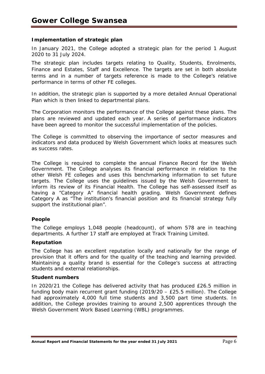#### **Implementation of strategic plan**

In January 2021, the College adopted a strategic plan for the period 1 August 2020 to 31 July 2024.

The strategic plan includes targets relating to Quality, Students, Enrolments, Finance and Estates, Staff and Excellence. The targets are set in both absolute terms and in a number of targets reference is made to the College's relative performance in terms of other FE colleges.

In addition, the strategic plan is supported by a more detailed Annual Operational Plan which is then linked to departmental plans.

The Corporation monitors the performance of the College against these plans. The plans are reviewed and updated each year. A series of performance indicators have been agreed to monitor the successful implementation of the policies.

The College is committed to observing the importance of sector measures and indicators and data produced by Welsh Government which looks at measures such as success rates.

The College is required to complete the annual Finance Record for the Welsh Government. The College analyses its financial performance in relation to the other Welsh FE colleges and uses this benchmarking information to set future targets. The College uses the guidelines issued by the Welsh Government to inform its review of its Financial Health. The College has self-assessed itself as having a "Category A" financial health grading. Welsh Government defines Category A as "The institution's financial position and its financial strategy fully support the institutional plan".

#### **People**

The College employs 1,048 people (headcount), of whom 578 are in teaching departments. A further 17 staff are employed at Track Training Limited.

#### **Reputation**

The College has an excellent reputation locally and nationally for the range of provision that it offers and for the quality of the teaching and learning provided. Maintaining a quality brand is essential for the College's success at attracting students and external relationships.

#### **Student numbers**

In 2020/21 the College has delivered activity that has produced £26.5 million in funding body main recurrent grant funding (2019/20 – £25.5 million). The College had approximately 4,000 full time students and 3,500 part time students. In addition, the College provides training to around 2,500 apprentices through the Welsh Government Work Based Learning (WBL) programmes.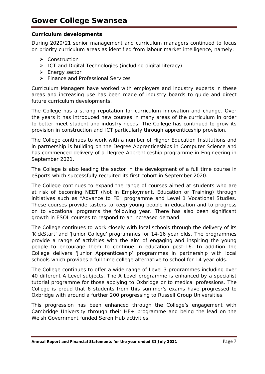## **Curriculum developments**

During 2020/21 senior management and curriculum managers continued to focus on priority curriculum areas as identified from labour market intelligence, namely:

- **▶** Construction
- $\triangleright$  ICT and Digital Technologies (including digital literacy)
- $\triangleright$  Energy sector
- **▶ Finance and Professional Services**

Curriculum Managers have worked with employers and industry experts in these areas and increasing use has been made of industry boards to guide and direct future curriculum developments.

The College has a strong reputation for curriculum innovation and change. Over the years it has introduced new courses in many areas of the curriculum in order to better meet student and industry needs. The College has continued to grow its provision in construction and ICT particularly through apprenticeship provision.

The College continues to work with a number of Higher Education Institutions and in partnership is building on the Degree Apprenticeships in Computer Science and has commenced delivery of a Degree Apprenticeship programme in Engineering in September 2021.

The College is also leading the sector in the development of a full time course in eSports which successfully recruited its first cohort in September 2020.

The College continues to expand the range of courses aimed at students who are at risk of becoming NEET (Not in Employment, Education or Training) through initiatives such as "Advance to FE" programme and Level 1 Vocational Studies. These courses provide tasters to keep young people in education and to progress on to vocational programs the following year. There has also been significant growth in ESOL courses to respond to an increased demand.

The College continues to work closely with local schools through the delivery of its 'KickStart' and 'Junior College' programmes for 14-16 year olds. The programmes provide a range of activities with the aim of engaging and inspiring the young people to encourage them to continue in education post-16. In addition the College delivers 'Junior Apprenticeship' programmes in partnership with local schools which provides a full time college alternative to school for 14 year olds.

The College continues to offer a wide range of Level 3 programmes including over 40 different A Level subjects. The A Level programme is enhanced by a specialist tutorial programme for those applying to Oxbridge or to medical professions. The College is proud that 6 students from this summer's exams have progressed to Oxbridge with around a further 200 progressing to Russell Group Universities.

This progression has been enhanced through the College's engagement with Cambridge University through their HE+ programme and being the lead on the Welsh Government funded Seren Hub activities.

Annual Report and Financial Statements for the year ended 31 July 2021 **Page 7** Page 7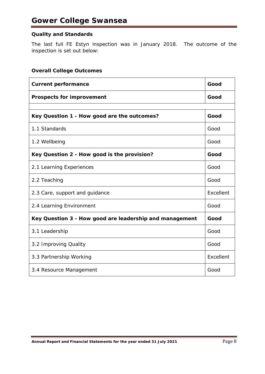# **Quality and Standards**

The last full FE Estyn inspection was in January 2018. The outcome of the inspection is set out below:

## **Overall College Outcomes**

| <b>Current performance</b>                              | Good      |
|---------------------------------------------------------|-----------|
| <b>Prospects for improvement</b>                        | Good      |
|                                                         |           |
| Key Question 1 - How good are the outcomes?             | Good      |
| 1.1 Standards                                           | Good      |
| 1.2 Wellbeing                                           | Good      |
| Key Question 2 - How good is the provision?             | Good      |
| 2.1 Learning Experiences                                | Good      |
| 2.2 Teaching                                            | Good      |
| 2.3 Care, support and guidance                          | Excellent |
| 2.4 Learning Environment                                | Good      |
| Key Question 3 - How good are leadership and management | Good      |
| 3.1 Leadership                                          | Good      |
| 3.2 Improving Quality                                   | Good      |
| 3.3 Partnership Working                                 | Excellent |
| 3.4 Resource Management                                 | Good      |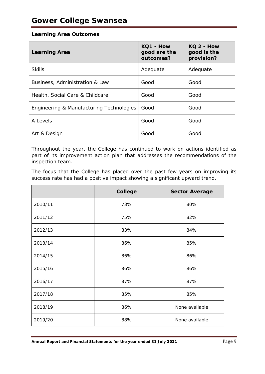#### **Learning Area Outcomes**

| <b>Learning Area</b>                     | KQ1 - How<br>good are the<br>outcomes? | $KO2 - How$<br>good is the<br>provision? |
|------------------------------------------|----------------------------------------|------------------------------------------|
| <b>Skills</b>                            | Adequate                               | Adequate                                 |
| Business, Administration & Law           | Good                                   | Good                                     |
| Health, Social Care & Childcare          | Good                                   | Good                                     |
| Engineering & Manufacturing Technologies | Good                                   | Good                                     |
| A Levels                                 | Good                                   | Good                                     |
| Art & Design                             | Good                                   | Good                                     |

Throughout the year, the College has continued to work on actions identified as part of its improvement action plan that addresses the recommendations of the inspection team.

The focus that the College has placed over the past few years on improving its success rate has had a positive impact showing a significant upward trend.

|         | College<br><b>Sector Average</b> |                |
|---------|----------------------------------|----------------|
| 2010/11 | 73%                              | 80%            |
| 2011/12 | 75%                              | 82%            |
| 2012/13 | 83%                              | 84%            |
| 2013/14 | 86%                              | 85%            |
| 2014/15 | 86%                              | 86%            |
| 2015/16 | 86%                              | 86%            |
| 2016/17 | 87%                              | 87%            |
| 2017/18 | 85%                              | 85%            |
| 2018/19 | 86%                              | None available |
| 2019/20 | 88%                              | None available |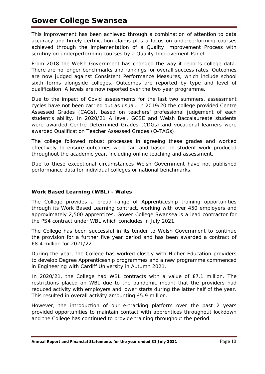This improvement has been achieved through a combination of attention to data accuracy and timely certification claims plus a focus on underperforming courses achieved through the implementation of a Quality Improvement Process with scrutiny on underperforming courses by a Quality Improvement Panel.

From 2018 the Welsh Government has changed the way it reports college data. There are no longer benchmarks and rankings for overall success rates. Outcomes are now judged against Consistent Performance Measures, which include school sixth forms alongside colleges. Outcomes are reported by type and level of qualification. A levels are now reported over the two year programme.

Due to the impact of Covid assessments for the last two summers, assessment cycles have not been carried out as usual. In 2019/20 the college provided Centre Assessed Grades (CAGs), based on teachers' professional judgement of each student's ability. In 2020/21 A level, GCSE and Welsh Baccalaureate students were awarded Centre Determined Grades (CDGs) and vocational learners were awarded Qualification Teacher Assessed Grades (Q-TAGs).

The college followed robust processes in agreeing these grades and worked effectively to ensure outcomes were fair and based on student work produced throughout the academic year, including online teaching and assessment.

Due to these exceptional circumstances Welsh Government have not published performance data for individual colleges or national benchmarks.

# **Work Based Learning (WBL) - Wales**

The College provides a broad range of Apprenticeship training opportunities through its Work Based Learning contract, working with over 450 employers and approximately 2,500 apprentices. Gower College Swansea is a lead contractor for the PS4 contract under WBL which concludes in July 2021.

The College has been successful in its tender to Welsh Government to continue the provision for a further five year period and has been awarded a contract of £8.4 million for 2021/22.

During the year, the College has worked closely with Higher Education providers to develop Degree Apprenticeship programmes and a new programme commenced in Engineering with Cardiff University in Autumn 2021.

In 2020/21, the College had WBL contracts with a value of £7.1 million. The restrictions placed on WBL due to the pandemic meant that the providers had reduced activity with employers and lower starts during the latter half of the year. This resulted in overall activity amounting £5.9 million.

However, the introduction of our e-tracking platform over the past 2 years provided opportunities to maintain contact with apprentices throughout lockdown and the College has continued to provide training throughout the period.

Annual Report and Financial Statements for the year ended 31 July 2021 **Page 10**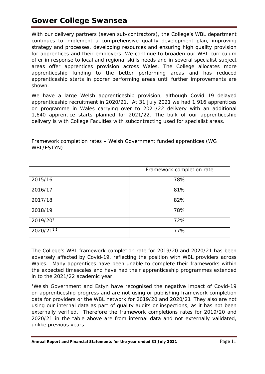# **Gower College Swansea**

With our delivery partners (seven sub-contractors), the College's WBL department continues to implement a comprehensive quality development plan, improving strategy and processes, developing resources and ensuring high quality provision for apprentices and their employers. We continue to broaden our WBL curriculum offer in response to local and regional skills needs and in several specialist subject areas offer apprentices provision across Wales. The College allocates more apprenticeship funding to the better performing areas and has reduced apprenticeship starts in poorer performing areas until further improvements are shown.

We have a large Welsh apprenticeship provision, although Covid 19 delayed apprenticeship recruitment in 2020/21. At 31 July 2021 we had 1,916 apprentices on programme in Wales carrying over to 2021/22 delivery with an additional 1,640 apprentice starts planned for 2021/22. The bulk of our apprenticeship delivery is with College Faculties with subcontracting used for specialist areas.

|           | Framework completion rate |  |  |  |
|-----------|---------------------------|--|--|--|
| 2015/16   | 78%                       |  |  |  |
| 2016/17   | 81%                       |  |  |  |
| 2017/18   | 82%                       |  |  |  |
| 2018/19   | 78%                       |  |  |  |
| 2019/201  | 72%                       |  |  |  |
| 2020/2112 | 77%                       |  |  |  |

*Framework completion rates – Welsh Government funded apprentices (WG WBL/ESTYN)*

The College's WBL framework completion rate for 2019/20 and 2020/21 has been adversely affected by Covid-19, reflecting the position with WBL providers across Wales. Many apprentices have been unable to complete their frameworks within the expected timescales and have had their apprenticeship programmes extended in to the 2021/22 academic year.

<sup>1</sup>Welsh Government and Estyn have recognised the negative impact of Covid-19 on apprenticeship progress and are not using or publishing framework completion data for providers or the WBL network for 2019/20 and 2020/21 They also are not using our internal data as part of quality audits or inspections, as it has not been externally verified. Therefore the framework completions rates for 2019/20 and 2020/21 in the table above are from internal data and not externally validated, unlike previous years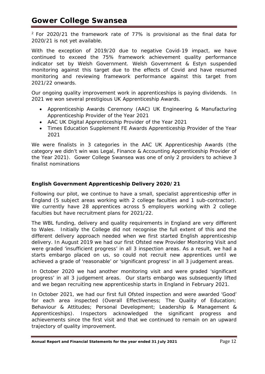$2$  For 2020/21 the framework rate of 77% is provisional as the final data for 2020/21 is not yet available.

With the exception of 2019/20 due to negative Covid-19 impact, we have continued to exceed the 75% framework achievement quality performance indicator set by Welsh Government. Welsh Government & Estyn suspended monitoring against this target due to the effects of Covid and have resumed monitoring and reviewing framework performance against this target from 2021/22 onwards.

Our ongoing quality improvement work in apprenticeships is paying dividends. In 2021 we won several prestigious UK Apprenticeship Awards.

- Apprenticeship Awards Ceremony (AAC) UK Engineering & Manufacturing Apprenticeship Provider of the Year 2021
- AAC UK Digital Apprenticeship Provider of the Year 2021
- Times Education Supplement FE Awards Apprenticeship Provider of the Year 2021

We were finalists in 3 categories in the AAC UK Apprenticeship Awards (the category we didn't win was Legal, Finance & Accounting Apprenticeship Provider of the Year 2021). Gower College Swansea was one of only 2 providers to achieve 3 finalist nominations

# **English Government Apprenticeship Delivery 2020/21**

Following our pilot, we continue to have a small, specialist apprenticeship offer in England (5 subject areas working with 2 college faculties and 1 sub-contractor). We currently have 28 apprentices across 5 employers working with 2 college faculties but have recruitment plans for 2021/22.

The WBL funding, delivery and quality requirements in England are very different to Wales. Initially the College did not recognise the full extent of this and the different delivery approach needed when we first started English apprenticeship delivery. In August 2019 we had our first Ofsted new Provider Monitoring Visit and were graded 'insufficient progress' in all 3 inspection areas. As a result, we had a starts embargo placed on us, so could not recruit new apprentices until we achieved a grade of 'reasonable' or 'significant progress' in all 3 judgement areas.

In October 2020 we had another monitoring visit and were graded 'significant progress' in all 3 judgement areas. Our starts embargo was subsequently lifted and we began recruiting new apprenticeship starts in England in February 2021.

In October 2021, we had our first full Ofsted inspection and were awarded 'Good' for each area inspected (Overall Effectiveness; The Quality of Education; Behaviour & Attitudes; Personal Development; Leadership & Management & Apprenticeships). Inspectors acknowledged the significant progress and achievements since the first visit and that we continued to remain on an upward trajectory of quality improvement.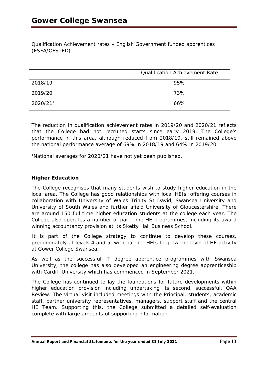*Qualification Achievement rates – English Government funded apprentices (ESFA/OFSTED)*

|          | <b>Qualification Achievement Rate</b> |  |  |  |  |
|----------|---------------------------------------|--|--|--|--|
| 2018/19  | 95%                                   |  |  |  |  |
| 2019/20  | 73%                                   |  |  |  |  |
| 2020/211 | 66%                                   |  |  |  |  |

The reduction in qualification achievement rates in 2019/20 and 2020/21 reflects that the College had not recruited starts since early 2019. The College's performance in this area, although reduced from 2018/19, still remained above the national performance average of 69% in 2018/19 and 64% in 2019/20.

1National averages for 2020/21 have not yet been published.

## **Higher Education**

The College recognises that many students wish to study higher education in the local area. The College has good relationships with local HEIs, offering courses in collaboration with University of Wales Trinity St David, Swansea University and University of South Wales and further afield University of Gloucestershire. There are around 150 full time higher education students at the college each year. The College also operates a number of part time HE programmes, including its award winning accountancy provision at its Sketty Hall Business School.

It is part of the College strategy to continue to develop these courses, predominately at levels 4 and 5, with partner HEIs to grow the level of HE activity at Gower College Swansea.

As well as the successful IT degree apprentice programmes with Swansea University, the college has also developed an engineering degree apprenticeship with Cardiff University which has commenced in September 2021.

The College has continued to lay the foundations for future developments within higher education provision including undertaking its second, successful, QAA Review. The virtual visit included meetings with the Principal, students, academic staff, partner university representatives, managers, support staff and the central HE Team. Supporting this, the College submitted a detailed self-evaluation complete with large amounts of supporting information.

Annual Report and Financial Statements for the year ended 31 July 2021 **Page 13**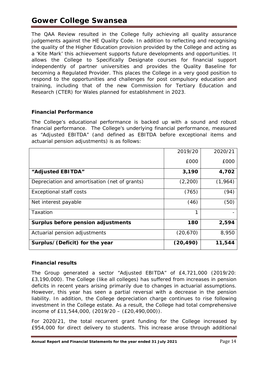The QAA Review resulted in the College fully achieving all quality assurance judgements against the HE Quality Code. In addition to reflecting and recognising the quality of the Higher Education provision provided by the College and acting as a 'Kite Mark' this achievement supports future developments and opportunities. It allows the College to Specifically Designate courses for financial support independently of partner universities and provides the Quality Baseline for becoming a Regulated Provider. This places the College in a very good position to respond to the opportunities and challenges for post compulsory education and training, including that of the new Commission for Tertiary Education and Research (CTER) for Wales planned for establishment in 2023.

# **Financial Performance**

The College's educational performance is backed up with a sound and robust financial performance. The College's underlying financial performance, measured as "Adjusted EBITDA" (and defined as EBITDA before exceptional items and actuarial pension adjustments) is as follows:

|                                               | 2019/20   | 2020/21 |
|-----------------------------------------------|-----------|---------|
|                                               | £000      | £000    |
| "Adjusted EBITDA"                             | 3,190     | 4,702   |
| Depreciation and amortisation (net of grants) | (2,200)   | (1,964) |
| <b>Exceptional staff costs</b>                | (765)     | (94)    |
| Net interest payable                          | (46)      | (50)    |
| Taxation                                      | 1         |         |
| Surplus before pension adjustments            | 180       | 2,594   |
| Actuarial pension adjustments                 | (20, 670) | 8,950   |
| Surplus/(Deficit) for the year                | (20, 490) | 11,544  |

# *Financial results*

The Group generated a sector "Adjusted EBITDA" of £4,721,000 (2019/20: £3,190,000). The College (like all colleges) has suffered from increases in pension deficits in recent years arising primarily due to changes in actuarial assumptions. However, this year has seen a partial reversal with a decrease in the pension liability. In addition, the College depreciation charge continues to rise following investment in the College estate. As a result, the College had total comprehensive income of £11,544,000, (2019/20 – (£20,490,000)).

For 2020/21, the total recurrent grant funding for the College increased by £954,000 for direct delivery to students. This increase arose through additional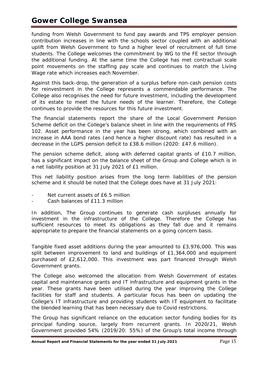# **Gower College Swansea**

funding from Welsh Government to fund pay awards and TPS employer pension contribution increases in line with the schools sector coupled with an additional uplift from Welsh Government to fund a higher level of recruitment of full time students. The College welcomes the commitment by WG to the FE sector through the additional funding. At the same time the College has met contractual scale point movements on the staffing pay scale and continues to match the Living Wage rate which increases each November.

Against this back-drop, the generation of a surplus before non-cash pension costs for reinvestment in the College represents a commendable performance. The College also recognises the need for future investment, including the development of its estate to meet the future needs of the learner. Therefore, the College continues to provide the resources for this future investment.

The financial statements report the share of the Local Government Pension Scheme deficit on the College's balance sheet in line with the requirements of FRS 102. Asset performance in the year has been strong, which combined with an increase in AAA bond rates (and hence a higher discount rate) has resulted in a decrease in the LGPS pension deficit to £38.6 million (2020: £47.6 million).

The pension scheme deficit, along with deferred capital grants of £10.7 million, has a significant impact on the balance sheet of the Group and College which is in a net liability position at 31 July 2021 of £1 million.

This net liability position arises from the long term liabilities of the pension scheme and it should be noted that the College does have at 31 July 2021:

- Net current assets of £6.5 million
- Cash balances of £11.3 million

In addition, The Group continues to generate cash surpluses annually for investment in the infrastructure of the College. Therefore the College has sufficient resources to meet its obligations as they fall due and it remains appropriate to prepare the financial statements on a going concern basis.

Tangible fixed asset additions during the year amounted to £3,976,000. This was split between improvement to land and buildings of £1,364,000 and equipment purchased of £2,612,000. This investment was part financed through Welsh Government grants.

The College also welcomed the allocation from Welsh Government of estates capital and maintenance grants and IT infrastructure and equipment grants in the year. These grants have been utilised during the year improving the College facilities for staff and students. A particular focus has been on updating the College's IT infrastructure and providing students with IT equipment to facilitate the blended learning that has been necessary due to Covid restrictions.

The Group has significant reliance on the education sector funding bodies for its principal funding source, largely from recurrent grants. In 2020/21, Welsh Government provided 54% (2019/20: 55%) of the Group's total income through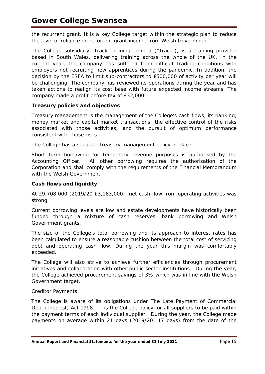the recurrent grant. It is a key College target within the strategic plan to reduce the level of reliance on recurrent grant income from Welsh Government.

The College subsidiary, Track Training Limited ("Track"), is a training provider based in South Wales, delivering training across the whole of the UK. In the current year, the company has suffered from difficult trading conditions with employers not recruiting new apprentices during the pandemic. In addition, the decision by the ESFA to limit sub-contractors to £500,000 of activity per year will be challenging. The company has reviewed its operations during the year and has taken actions to realign its cost base with future expected income streams. The company made a profit before tax of £32,000.

## *Treasury policies and objectives*

Treasury management is the management of the College's cash flows, its banking, money market and capital market transactions; the effective control of the risks associated with those activities; and the pursuit of optimum performance consistent with those risks.

The College has a separate treasury management policy in place.

Short term borrowing for temporary revenue purposes is authorised by the Accounting Officer. All other borrowing requires the authorisation of the Corporation and shall comply with the requirements of the Financial Memorandum with the Welsh Government.

# *Cash flows and liquidity*

At £9,708,000 (2019/20 £3,183,000), net cash flow from operating activities was strong.

Current borrowing levels are low and estate developments have historically been funded through a mixture of cash reserves, bank borrowing and Welsh Government grants.

The size of the College's total borrowing and its approach to interest rates has been calculated to ensure a reasonable cushion between the total cost of servicing debt and operating cash flow. During the year this margin was comfortably exceeded.

The College will also strive to achieve further efficiencies through procurement initiatives and collaboration with other public sector institutions. During the year, the College achieved procurement savings of 3% which was in line with the Welsh Government target.

## *Creditor Payments*

The College is aware of its obligations under The Late Payment of Commercial Debt (Interest) Act 1998. It is the College policy for all suppliers to be paid within the payment terms of each individual supplier. During the year, the College made payments on average within 21 days (2019/20: 17 days) from the date of the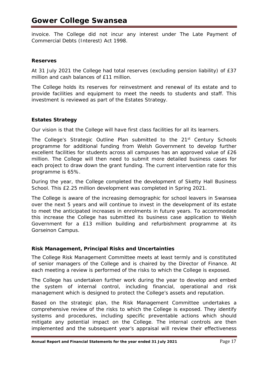# **Gower College Swansea**

invoice. The College did not incur any interest under The Late Payment of Commercial Debts (Interest) Act 1998.

#### **Reserves**

At 31 July 2021 the College had total reserves (excluding pension liability) of £37 million and cash balances of £11 million.

The College holds its reserves for reinvestment and renewal of its estate and to provide facilities and equipment to meet the needs to students and staff. This investment is reviewed as part of the Estates Strategy.

## **Estates Strategy**

Our vision is that the College will have first class facilities for all its learners.

The College's Strategic Outline Plan submitted to the 21<sup>st</sup> Century Schools programme for additional funding from Welsh Government to develop further excellent facilities for students across all campuses has an approved value of £26 million. The College will then need to submit more detailed business cases for each project to draw down the grant funding. The current intervention rate for this programme is 65%.

During the year, the College completed the development of Sketty Hall Business School. This £2.25 million development was completed in Spring 2021.

The College is aware of the increasing demographic for school leavers in Swansea over the next 5 years and will continue to invest in the development of its estate to meet the anticipated increases in enrolments in future years. To accommodate this increase the College has submitted its business case application to Welsh Government for a £13 million building and refurbishment programme at its Gorseinon Campus.

## **Risk Management, Principal Risks and Uncertainties**

The College Risk Management Committee meets at least termly and is constituted of senior managers of the College and is chaired by the Director of Finance. At each meeting a review is performed of the risks to which the College is exposed.

The College has undertaken further work during the year to develop and embed the system of internal control, including financial, operational and risk management which is designed to protect the College's assets and reputation.

Based on the strategic plan, the Risk Management Committee undertakes a comprehensive review of the risks to which the College is exposed. They identify systems and procedures, including specific preventable actions which should mitigate any potential impact on the College. The internal controls are then implemented and the subsequent year's appraisal will review their effectiveness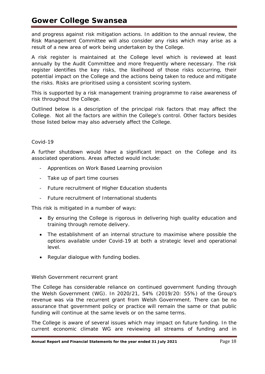and progress against risk mitigation actions. In addition to the annual review, the Risk Management Committee will also consider any risks which may arise as a result of a new area of work being undertaken by the College.

A risk register is maintained at the College level which is reviewed at least annually by the Audit Committee and more frequently where necessary. The risk register identifies the key risks, the likelihood of those risks occurring, their potential impact on the College and the actions being taken to reduce and mitigate the risks. Risks are prioritised using a consistent scoring system.

This is supported by a risk management training programme to raise awareness of risk throughout the College.

Outlined below is a description of the principal risk factors that may affect the College. Not all the factors are within the College's control. Other factors besides those listed below may also adversely affect the College.

# *Covid-19*

A further shutdown would have a significant impact on the College and its associated operations. Areas affected would include:

- Apprentices on Work Based Learning provision
- Take up of part time courses
- Future recruitment of Higher Education students
- Future recruitment of International students

This risk is mitigated in a number of ways:

- By ensuring the College is rigorous in delivering high quality education and training through remote delivery.
- The establishment of an internal structure to maximise where possible the options available under Covid-19 at both a strategic level and operational level.
- Regular dialogue with funding bodies.

## *Welsh Government recurrent grant*

The College has considerable reliance on continued government funding through the Welsh Government (WG). In 2020/21, 54% (2019/20: 55%) of the Group's revenue was via the recurrent grant from Welsh Government. There can be no assurance that government policy or practice will remain the same or that public funding will continue at the same levels or on the same terms.

The College is aware of several issues which may impact on future funding. In the current economic climate WG are reviewing all streams of funding and in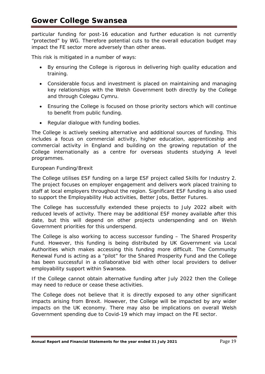particular funding for post-16 education and further education is not currently "protected" by WG. Therefore potential cuts to the overall education budget may impact the FE sector more adversely than other areas.

This risk is mitigated in a number of ways:

- By ensuring the College is rigorous in delivering high quality education and training.
- Considerable focus and investment is placed on maintaining and managing key relationships with the Welsh Government both directly by the College and through Colegau Cymru.
- Ensuring the College is focused on those priority sectors which will continue to benefit from public funding.
- Regular dialogue with funding bodies.

The College is actively seeking alternative and additional sources of funding. This includes a focus on commercial activity, higher education, apprenticeship and commercial activity in England and building on the growing reputation of the College internationally as a centre for overseas students studying A level programmes.

# *European Funding/Brexit*

The College utilises ESF funding on a large ESF project called Skills for Industry 2. The project focuses on employer engagement and delivers work placed training to staff at local employers throughout the region. Significant ESF funding is also used to support the Employability Hub activities, *Better Jobs, Better Futures*.

The College has successfully extended these projects to July 2022 albeit with reduced levels of activity. There may be additional ESF money available after this date, but this will depend on other projects underspending and on Welsh Government priorities for this underspend.

The College is also working to access successor funding – The Shared Prosperity Fund. However, this funding is being distributed by UK Government via Local Authorities which makes accessing this funding more difficult. The Community Renewal Fund is acting as a "pilot" for the Shared Prosperity Fund and the College has been successful in a collaborative bid with other local providers to deliver employability support within Swansea.

If the College cannot obtain alternative funding after July 2022 then the College may need to reduce or cease these activities.

The College does not believe that it is directly exposed to any other significant impacts arising from Brexit. However, the College will be impacted by any wider impacts on the UK economy. There may also be implications on overall Welsh Government spending due to Covid-19 which may impact on the FE sector.

Annual Report and Financial Statements for the year ended 31 July 2021 **Page 19** Page 19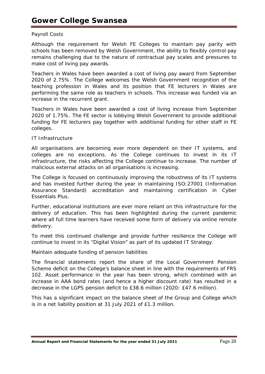# *Payroll Costs*

Although the requirement for Welsh FE Colleges to maintain pay parity with schools has been removed by Welsh Government, the ability to flexibly control pay remains challenging due to the nature of contractual pay scales and pressures to make cost of living pay awards.

Teachers in Wales have been awarded a cost of living pay award from September 2020 of 2.75%. The College welcomes the Welsh Government recognition of the teaching profession in Wales and its position that FE lecturers in Wales are performing the same role as teachers in schools. This increase was funded via an increase in the recurrent grant.

Teachers in Wales have been awarded a cost of living increase from September 2020 of 1.75%. The FE sector is lobbying Welsh Government to provide additional funding for FE lecturers pay together with additional funding for other staff in FE colleges.

#### *IT Infrastructure*

All organisations are becoming ever more dependent on their IT systems, and colleges are no exceptions. As the College continues to invest in its IT infrastructure, the risks affecting the College continue to increase. The number of malicious external attacks on all organisations is increasing.

The College is focused on continuously improving the robustness of its IT systems and has invested further during the year in maintaining ISO:27001 (Information Assurance Standard) accreditation and maintaining certification in Cyber Essentials Plus.

Further, educational institutions are ever more reliant on this infrastructure for the delivery of education. This has been highlighted during the current pandemic where all full time learners have received some form of delivery via online remote delivery.

To meet this continued challenge and provide further resilience the College will continue to invest in its "Digital Vision" as part of its updated IT Strategy.

## *Maintain adequate funding of pension liabilities*

The financial statements report the share of the Local Government Pension Scheme deficit on the College's balance sheet in line with the requirements of FRS 102. Asset performance in the year has been strong, which combined with an increase in AAA bond rates (and hence a higher discount rate) has resulted in a decrease in the LGPS pension deficit to £38.6 million (2020: £47.6 million).

This has a significant impact on the balance sheet of the Group and College which is in a net liability position at 31 July 2021 of £1.3 million.

Annual Report and Financial Statements for the year ended 31 July 2021 **Page 20**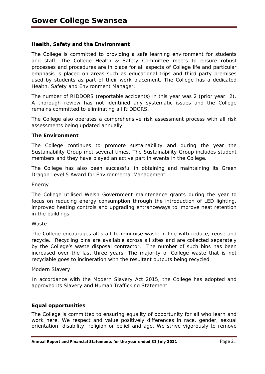## **Health, Safety and the Environment**

The College is committed to providing a safe learning environment for students and staff. The College Health & Safety Committee meets to ensure robust processes and procedures are in place for all aspects of College life and particular emphasis is placed on areas such as educational trips and third party premises used by students as part of their work placement. The College has a dedicated Health, Safety and Environment Manager.

The number of RIDDORS (reportable accidents) in this year was 2 (prior year: 2). A thorough review has not identified any systematic issues and the College remains committed to eliminating all RIDDORS.

The College also operates a comprehensive risk assessment process with all risk assessments being updated annually.

#### **The Environment**

The College continues to promote sustainability and during the year the Sustainability Group met several times. The Sustainability Group includes student members and they have played an active part in events in the College.

The College has also been successful in obtaining and maintaining its Green Dragon Level 5 Award for Environmental Management.

#### *Energy*

The College utilised Welsh Government maintenance grants during the year to focus on reducing energy consumption through the introduction of LED lighting, improved heating controls and upgrading entranceways to improve heat retention in the buildings.

#### *Waste*

The College encourages all staff to minimise waste in line with reduce, reuse and recycle. Recycling bins are available across all sites and are collected separately by the College's waste disposal contractor. The number of such bins has been increased over the last three years. The majority of College waste that is not recyclable goes to incineration with the resultant outputs being recycled.

#### *Modern Slavery*

In accordance with the Modern Slavery Act 2015, the College has adopted and approved its Slavery and Human Trafficking Statement.

#### **Equal opportunities**

The College is committed to ensuring equality of opportunity for all who learn and work here. We respect and value positively differences in race, gender, sexual orientation, disability, religion or belief and age. We strive vigorously to remove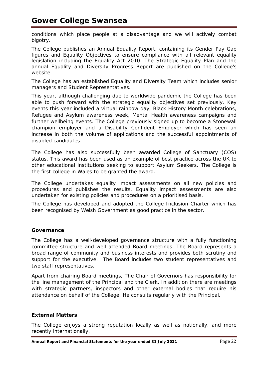conditions which place people at a disadvantage and we will actively combat bigotry.

The College publishes an Annual Equality Report, containing its Gender Pay Gap figures and Equality Objectives to ensure compliance with all relevant equality legislation including the Equality Act 2010. The Strategic Equality Plan and the annual Equality and Diversity Progress Report are published on the College's website.

The College has an established Equality and Diversity Team which includes senior managers and Student Representatives.

This year, although challenging due to worldwide pandemic the College has been able to push forward with the strategic equality objectives set previously. Key events this year included a virtual rainbow day, Black History Month celebrations, Refugee and Asylum awareness week, Mental Health awareness campaigns and further wellbeing events. The College previously signed up to become a Stonewall champion employer and a Disability Confident Employer which has seen an increase in both the volume of applications and the successful appointments of disabled candidates.

The College has also successfully been awarded College of Sanctuary (COS) status. This award has been used as an example of best practice across the UK to other educational institutions seeking to support Asylum Seekers. The College is the first college in Wales to be granted the award.

The College undertakes equality impact assessments on all new policies and procedures and publishes the results. Equality impact assessments are also undertaken for existing policies and procedures on a prioritised basis.

The College has developed and adopted the College Inclusion Charter which has been recognised by Welsh Government as good practice in the sector.

# **Governance**

The College has a well-developed governance structure with a fully functioning committee structure and well attended Board meetings. The Board represents a broad range of community and business interests and provides both scrutiny and support for the executive. The Board includes two student representatives and two staff representatives.

Apart from chairing Board meetings, The Chair of Governors has responsibility for the line management of the Principal and the Clerk. In addition there are meetings with strategic partners, inspectors and other external bodies that require his attendance on behalf of the College. He consults regularly with the Principal.

## **External Matters**

The College enjoys a strong reputation locally as well as nationally, and more recently internationally.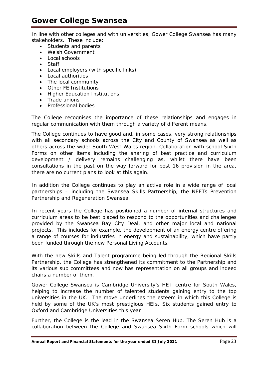In line with other colleges and with universities, Gower College Swansea has many stakeholders. These include:

- Students and parents
- Welsh Government
- Local schools
- Staff
- Local employers (with specific links)
- Local authorities
- The local community
- Other FE Institutions
- Higher Education Institutions
- Trade unions
- Professional bodies

The College recognises the importance of these relationships and engages in regular communication with them through a variety of different means.

The College continues to have good and, in some cases, very strong relationships with all secondary schools across the City and County of Swansea as well as others across the wider South West Wales region. Collaboration with school Sixth Forms on other items including the sharing of best practice and curriculum development / delivery remains challenging as, whilst there have been consultations in the past on the way forward for post 16 provision in the area, there are no current plans to look at this again.

In addition the College continues to play an active role in a wide range of local partnerships – including the Swansea Skills Partnership, the NEETs Prevention Partnership and Regeneration Swansea.

In recent years the College has positioned a number of internal structures and curriculum areas to be best placed to respond to the opportunities and challenges provided by the Swansea Bay City Deal, and other major local and national projects. This includes for example, the development of an energy centre offering a range of courses for industries in energy and sustainability, which have partly been funded through the new Personal Living Accounts.

With the new Skills and Talent programme being led through the Regional Skills Partnership, the College has strengthened its commitment to the Partnership and its various sub committees and now has representation on all groups and indeed chairs a number of them.

Gower College Swansea is Cambridge University's HE+ centre for South Wales, helping to increase the number of talented students gaining entry to the top universities in the UK. The move underlines the esteem in which this College is held by some of the UK's most prestigious HEIs. Six students gained entry to Oxford and Cambridge Universities this year

Further, the College is the lead in the Swansea Seren Hub. The Seren Hub is a collaboration between the College and Swansea Sixth Form schools which will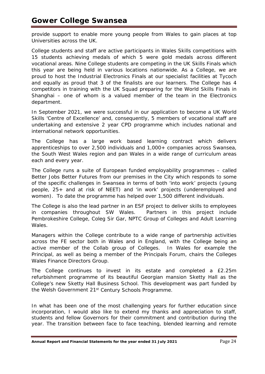provide support to enable more young people from Wales to gain places at top Universities across the UK.

College students and staff are active participants in Wales Skills competitions with 15 students achieving medals of which 5 were gold medals across different vocational areas. Nine College students are competing in the UK Skills Finals which this year are being held in various locations nationwide. As a College, we are proud to host the Industrial Electronics Finals at our specialist facilities at Tycoch and equally as proud that 3 of the finalists are our learners. The College has 4 competitors in training with the UK Squad preparing for the World Skills Finals in Shanghai – one of whom is a valued member of the team in the Electronics department.

In September 2021, we were successful in our application to become a UK World Skills 'Centre of Excellence' and, consequently, 5 members of vocational staff are undertaking and extensive 2 year CPD programme which includes national and international network opportunities.

The College has a large work based learning contract which delivers apprenticeships to over 2,500 individuals and 1,000+ companies across Swansea, the South West Wales region and pan Wales in a wide range of curriculum areas each and every year.

The College runs a suite of European funded employability programmes – called Better Jobs Better Futures from our premises in the City which responds to some of the specific challenges in Swansea in terms of both 'into work' projects (young people, 25+ and at risk of NEET) and 'in work' projects (underemployed and women). To date the programme has helped over 1,500 different individuals.

The College is also the lead partner in an ESF project to deliver skills to employees in companies throughout SW Wales. Partners in this project include Pembrokeshire College, Coleg Sir Gar, NPTC Group of Colleges and Adult Learning Wales.

Managers within the College contribute to a wide range of partnership activities across the FE sector both in Wales and in England, with the College being an active member of the Collab group of Colleges. In Wales for example the Principal, as well as being a member of the Principals Forum, chairs the Colleges Wales Finance Directors Group.

The College continues to invest in its estate and completed a £2.25m refurbishment programme of its beautiful Georgian mansion Sketty Hall as the College's new Sketty Hall Business School. This development was part funded by the Welsh Government 21<sup>st</sup> Century Schools Programme.

In what has been one of the most challenging years for further education since incorporation, I would also like to extend my thanks and appreciation to staff, students and fellow Governors for their commitment and contribution during the year. The transition between face to face teaching, blended learning and remote

Annual Report and Financial Statements for the year ended 31 July 2021 **Page 24**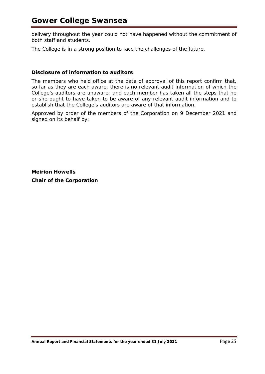delivery throughout the year could not have happened without the commitment of both staff and students.

The College is in a strong position to face the challenges of the future.

#### **Disclosure of information to auditors**

The members who held office at the date of approval of this report confirm that, so far as they are each aware, there is no relevant audit information of which the College's auditors are unaware; and each member has taken all the steps that he or she ought to have taken to be aware of any relevant audit information and to establish that the College's auditors are aware of that information.

Approved by order of the members of the Corporation on 9 December 2021 and signed on its behalf by:

**Meirion Howells Chair of the Corporation**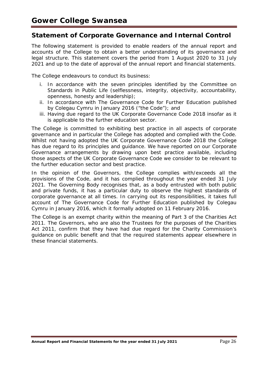# **Statement of Corporate Governance and Internal Control**

The following statement is provided to enable readers of the annual report and accounts of the College to obtain a better understanding of its governance and legal structure. This statement covers the period from 1 August 2020 to 31 July 2021 and up to the date of approval of the annual report and financial statements.

The College endeavours to conduct its business:

- i. In accordance with the seven principles identified by the Committee on Standards in Public Life (selflessness, integrity, objectivity, accountability, openness, honesty and leadership);
- ii. In accordance with The Governance Code for Further Education published by Colegau Cymru in January 2016 ("the Code"); and
- iii. Having due regard to the UK Corporate Governance Code 2018 insofar as it is applicable to the further education sector.

The College is committed to exhibiting best practice in all aspects of corporate governance and in particular the College has adopted and complied with the Code. Whilst not having adopted the UK Corporate Governance Code 2018 the College has due regard to its principles and guidance. We have reported on our Corporate Governance arrangements by drawing upon best practice available, including those aspects of the UK Corporate Governance Code we consider to be relevant to the further education sector and best practice.

In the opinion of the Governors, the College complies with/exceeds all the provisions of the Code, and it has complied throughout the year ended 31 July 2021. The Governing Body recognises that, as a body entrusted with both public and private funds, it has a particular duty to observe the highest standards of corporate governance at all times. In carrying out its responsibilities, it takes full account of The Governance Code for Further Education published by Colegau Cymru in January 2016, which it formally adopted on 11 February 2016.

The College is an exempt charity within the meaning of Part 3 of the Charities Act 2011. The Governors, who are also the Trustees for the purposes of the Charities Act 2011, confirm that they have had due regard for the Charity Commission's guidance on public benefit and that the required statements appear elsewhere in these financial statements.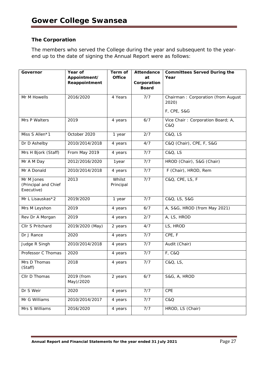# **The Corporation**

The members who served the College during the year and subsequent to the yearend up to the date of signing the Annual Report were as follows:

| Governor                                         | Year of<br>Appointment/<br>Reappointment | Term of<br><b>Office</b> | Attendance<br>at<br>Corporation | <b>Committees Served During the</b><br>Year |  |
|--------------------------------------------------|------------------------------------------|--------------------------|---------------------------------|---------------------------------------------|--|
|                                                  |                                          |                          | <b>Board</b>                    |                                             |  |
| Mr M Howells                                     | 2016/2020                                | 4 Years                  | 7/7                             | Chairman: Corporation (from August<br>2020) |  |
|                                                  |                                          |                          |                                 | <b>F, CPE, S&amp;G</b>                      |  |
| Mrs P Walters                                    | 2019                                     | 4 years                  | 6/7                             | Vice Chair: Corporation Board; A,<br>C&Q    |  |
| Miss S Allen*1                                   | October 2020                             | 1 year                   | 2/7                             | <b>C&amp;Q, LS</b>                          |  |
| Dr D Ashelby                                     | 2010/2014/2018                           | 4 years                  | 4/7                             | C&Q (Chair), CPE, F, S&G                    |  |
| Mrs H Bjork (Staff)                              | From May 2019                            | 4 years                  | 7/7                             | C&Q, LS                                     |  |
| Mr A M Day                                       | 2012/2016/2020                           | 1year                    | 7/7                             | HROD (Chair), S&G (Chair)                   |  |
| Mr A Donald                                      | 2010/2014/2018                           | 4 years                  | 7/7                             | F (Chair), HROD, Rem                        |  |
| Mr M Jones<br>(Principal and Chief<br>Executive) | 2013                                     | Whilst<br>Principal      | 7/7                             | C&Q, CPE, LS, F                             |  |
| Mr L Lisauskas*2                                 | 2019/2020                                | 1 year                   | 7/7                             | C&Q, LS, S&G                                |  |
| Mrs M Leyshon                                    | 2019                                     | 4 years                  | 6/7                             | A, S&G, HROD (from May 2021)                |  |
| Rev Dr A Morgan                                  | 2019                                     | 4 years                  | 2/7                             | A, LS, HROD                                 |  |
| Cllr S Pritchard                                 | 2019/2020 (May)                          | 2 years                  | 4/7                             | LS, HROD                                    |  |
| Dr J Rance                                       | 2020                                     | 4 years                  | 7/7                             | CPE, F                                      |  |
| Judge R Singh                                    | 2010/2014/2018                           | 4 years                  | 7/7                             | Audit (Chair)                               |  |
| Professor C Thomas                               | 2020                                     | 4 years                  | 7/7                             | F, C&Q                                      |  |
| Mrs D Thomas<br>(Staff)                          | 2018                                     | 4 years                  | 7/7                             | C&Q, LS,                                    |  |
| Cllr D Thomas                                    | 2019 (from<br>May)/2020                  | 2 years                  | 6/7                             | S&G, A, HROD                                |  |
| Dr S Weir                                        | 2020                                     | 4 years                  | 7/7                             | CPE                                         |  |
| Mr G Williams                                    | 2010/2014/2017                           | 4 years                  | 7/7                             | C&Q                                         |  |
| Mrs S Williams                                   | 2016/2020                                | 4 years                  | 7/7                             | HROD, LS (Chair)                            |  |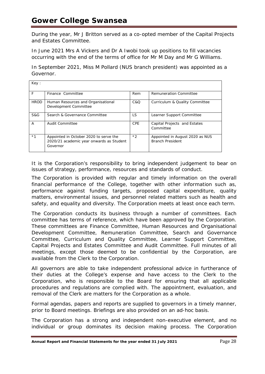During the year, Mr J Britton served as a co-opted member of the Capital Projects and Estates Committee.

In June 2021 Mrs A Vickers and Dr A Iwobi took up positions to fill vacancies occurring with the end of the terms of office for Mr M Day and Mr G Williams.

In September 2021, Miss M Pollard (NUS branch president) was appointed as a Governor.

| Key:        |                                                                                                |            |                                                            |
|-------------|------------------------------------------------------------------------------------------------|------------|------------------------------------------------------------|
| F           | Finance Committee                                                                              | Rem        | <b>Remuneration Committee</b>                              |
| <b>HROD</b> | Human Resources and Organisational<br>Development Committee                                    | C & O      | Curriculum & Quality Committee                             |
| S&G         | Search & Governance Committee                                                                  | LS.        | Learner Support Committee                                  |
| A           | Audit Committee                                                                                | <b>CPE</b> | Capital Projects and Estates<br>Committee                  |
| $*1$        | Appointed in October 2020 to serve the<br>2020/21 academic year onwards as Student<br>Governor | $*2$       | Appointed in August 2020 as NUS<br><b>Branch President</b> |

It is the Corporation's responsibility to bring independent judgement to bear on issues of strategy, performance, resources and standards of conduct.

The Corporation is provided with regular and timely information on the overall financial performance of the College, together with other information such as, performance against funding targets, proposed capital expenditure, quality matters, environmental issues, and personnel related matters such as health and safety, and equality and diversity. The Corporation meets at least once each term.

The Corporation conducts its business through a number of committees. Each committee has terms of reference, which have been approved by the Corporation. These committees are Finance Committee, Human Resources and Organisational Development Committee, Remuneration Committee, Search and Governance Committee, Curriculum and Quality Committee, Learner Support Committee, Capital Projects and Estates Committee and Audit Committee. Full minutes of all meetings, except those deemed to be confidential by the Corporation, are available from the Clerk to the Corporation.

All governors are able to take independent professional advice in furtherance of their duties at the College's expense and have access to the Clerk to the Corporation, who is responsible to the Board for ensuring that all applicable procedures and regulations are complied with. The appointment, evaluation, and removal of the Clerk are matters for the Corporation as a whole.

Formal agendas, papers and reports are supplied to governors in a timely manner, prior to Board meetings. Briefings are also provided on an ad-hoc basis.

The Corporation has a strong and independent non-executive element, and no individual or group dominates its decision making process. The Corporation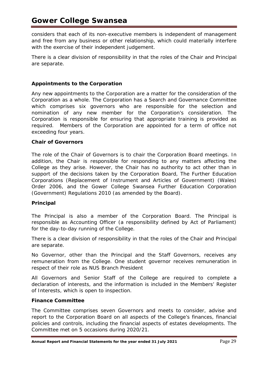considers that each of its non-executive members is independent of management and free from any business or other relationship, which could materially interfere with the exercise of their independent judgement.

There is a clear division of responsibility in that the roles of the Chair and Principal are separate.

# **Appointments to the Corporation**

Any new appointments to the Corporation are a matter for the consideration of the Corporation as a whole. The Corporation has a Search and Governance Committee which comprises six governors who are responsible for the selection and nomination of any new member for the Corporation's consideration. The Corporation is responsible for ensuring that appropriate training is provided as required. Members of the Corporation are appointed for a term of office not exceeding four years.

## **Chair of Governors**

The role of the Chair of Governors is to chair the Corporation Board meetings. In addition, the Chair is responsible for responding to any matters affecting the College as they arise. However, the Chair has no authority to act other than in support of the decisions taken by the Corporation Board, The Further Education Corporations (Replacement of Instrument and Articles of Government) (Wales) Order 2006, and the Gower College Swansea Further Education Corporation (Government) Regulations 2010 (as amended by the Board).

#### **Principal**

The Principal is also a member of the Corporation Board. The Principal is responsible as Accounting Officer (a responsibility defined by Act of Parliament) for the day-to-day running of the College.

There is a clear division of responsibility in that the roles of the Chair and Principal are separate.

No Governor, other than the Principal and the Staff Governors, receives any remuneration from the College. One student governor receives remuneration in respect of their role as NUS Branch President

All Governors and Senior Staff of the College are required to complete a declaration of interests, and the information is included in the Members' Register of Interests, which is open to inspection.

#### **Finance Committee**

The Committee comprises seven Governors and meets to consider, advise and report to the Corporation Board on all aspects of the College's finances, financial policies and controls, including the financial aspects of estates developments. The Committee met on 5 occasions during 2020/21.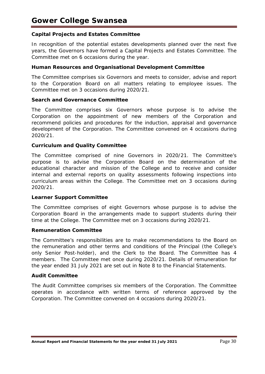## **Capital Projects and Estates Committee**

In recognition of the potential estates developments planned over the next five years, the Governors have formed a Capital Projects and Estates Committee. The Committee met on 6 occasions during the year.

#### **Human Resources and Organisational Development Committee**

The Committee comprises six Governors and meets to consider, advise and report to the Corporation Board on all matters relating to employee issues. The Committee met on 3 occasions during 2020/21.

#### **Search and Governance Committee**

The Committee comprises six Governors whose purpose is to advise the Corporation on the appointment of new members of the Corporation and recommend policies and procedures for the induction, appraisal and governance development of the Corporation. The Committee convened on 4 occasions during 2020/21.

#### **Curriculum and Quality Committee**

The Committee comprised of nine Governors in 2020/21. The Committee's purpose is to advise the Corporation Board on the determination of the educational character and mission of the College and to receive and consider internal and external reports on quality assessments following inspections into curriculum areas within the College. The Committee met on 3 occasions during 2020/21.

#### **Learner Support Committee**

The Committee comprises of eight Governors whose purpose is to advise the Corporation Board in the arrangements made to support students during their time at the College. The Committee met on 3 occasions during 2020/21.

#### **Remuneration Committee**

The Committee's responsibilities are to make recommendations to the Board on the remuneration and other terms and conditions of the Principal (the College's only Senior Post-holder), and the Clerk to the Board. The Committee has 4 members. The Committee met once during 2020/21. Details of remuneration for the year ended 31 July 2021 are set out in Note 8 to the Financial Statements.

#### **Audit Committee**

The Audit Committee comprises six members of the Corporation. The Committee operates in accordance with written terms of reference approved by the Corporation. The Committee convened on 4 occasions during 2020/21.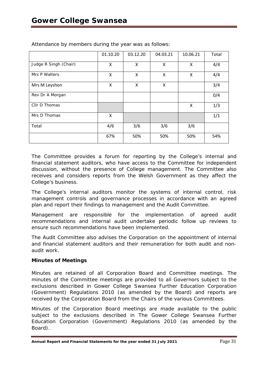|                       | 01.10.20 | 03.12.20 | 04.03.21 | 10.06.21 | Total |
|-----------------------|----------|----------|----------|----------|-------|
| Judge R Singh (Chair) | Χ        | X        | Χ        | Χ        | 4/4   |
| Mrs P Walters         | Χ        | X        | X        | X        | 4/4   |
| Mrs M Leyshon         | X        | Χ        | X        |          | 3/4   |
| Rev Dr A Morgan       |          |          |          |          | 0/4   |
| Cllr D Thomas         |          |          |          | X        | 1/3   |
| Mrs D Thomas          | Χ        |          |          |          | 1/1   |
| Total                 | 4/6      | 3/6      | 3/6      | 3/6      |       |
|                       | 67%      | 50%      | 50%      | 50%      | 54%   |

Attendance by members during the year was as follows:

The Committee provides a forum for reporting by the College's internal and financial statement auditors, who have access to the Committee for independent discussion, without the presence of College management. The Committee also receives and considers reports from the Welsh Government as they affect the College's business.

The College's internal auditors monitor the systems of internal control, risk management controls and governance processes in accordance with an agreed plan and report their findings to management and the Audit Committee.

Management are responsible for the implementation of agreed audit recommendations and internal audit undertake periodic follow up reviews to ensure such recommendations have been implemented.

The Audit Committee also advises the Corporation on the appointment of internal and financial statement auditors and their remuneration for both audit and nonaudit work.

## **Minutes of Meetings**

Minutes are retained of all Corporation Board and Committee meetings. The minutes of the Committee meetings are provided to all Governors subject to the exclusions described in Gower College Swansea Further Education Corporation (Government) Regulations 2010 (as amended by the Board) and reports are received by the Corporation Board from the Chairs of the various Committees.

Minutes of the Corporation Board meetings are made available to the public subject to the exclusions described in The Gower College Swansea Further Education Corporation (Government) Regulations 2010 (as amended by the Board).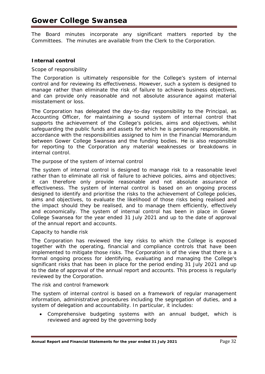The Board minutes incorporate any significant matters reported by the Committees. The minutes are available from the Clerk to the Corporation.

## **Internal control**

## *Scope of responsibility*

The Corporation is ultimately responsible for the College's system of internal control and for reviewing its effectiveness. However, such a system is designed to manage rather than eliminate the risk of failure to achieve business objectives, and can provide only reasonable and not absolute assurance against material misstatement or loss.

The Corporation has delegated the day-to-day responsibility to the Principal, as Accounting Officer, for maintaining a sound system of internal control that supports the achievement of the College's policies, aims and objectives, whilst safeguarding the public funds and assets for which he is personally responsible, in accordance with the responsibilities assigned to him in the Financial Memorandum between Gower College Swansea and the funding bodies. He is also responsible for reporting to the Corporation any material weaknesses or breakdowns in internal control.

## *The purpose of the system of internal control*

The system of internal control is designed to manage risk to a reasonable level rather than to eliminate all risk of failure to achieve policies, aims and objectives; it can therefore only provide reasonable and not absolute assurance of effectiveness. The system of internal control is based on an ongoing process designed to identify and prioritise the risks to the achievement of College policies, aims and objectives, to evaluate the likelihood of those risks being realised and the impact should they be realised, and to manage them efficiently, effectively and economically. The system of internal control has been in place in Gower College Swansea for the year ended 31 July 2021 and up to the date of approval of the annual report and accounts.

#### *Capacity to handle risk*

The Corporation has reviewed the key risks to which the College is exposed together with the operating, financial and compliance controls that have been implemented to mitigate those risks. The Corporation is of the view that there is a formal ongoing process for identifying, evaluating and managing the College's significant risks that has been in place for the period ending 31 July 2021 and up to the date of approval of the annual report and accounts. This process is regularly reviewed by the Corporation.

## *The risk and control framework*

The system of internal control is based on a framework of regular management information, administrative procedures including the segregation of duties, and a system of delegation and accountability. In particular, it includes:

• Comprehensive budgeting systems with an annual budget, which is reviewed and agreed by the governing body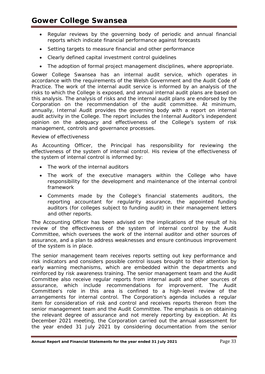- Regular reviews by the governing body of periodic and annual financial reports which indicate financial performance against forecasts
- Setting targets to measure financial and other performance
- Clearly defined capital investment control guidelines
- The adoption of formal project management disciplines, where appropriate.

Gower College Swansea has an internal audit service, which operates in accordance with the requirements of the Welsh Government and the Audit Code of Practice. The work of the internal audit service is informed by an analysis of the risks to which the College is exposed, and annual internal audit plans are based on this analysis. The analysis of risks and the internal audit plans are endorsed by the Corporation on the recommendation of the audit committee. At minimum, annually, Internal Audit provides the governing body with a report on internal audit activity in the College. The report includes the Internal Auditor's independent opinion on the adequacy and effectiveness of the College's system of risk management, controls and governance processes.

## *Review of effectiveness*

As Accounting Officer, the Principal has responsibility for reviewing the effectiveness of the system of internal control. His review of the effectiveness of the system of internal control is informed by:

- The work of the internal auditors
- The work of the executive managers within the College who have responsibility for the development and maintenance of the internal control framework
- Comments made by the College's financial statements auditors, the reporting accountant for regularity assurance, the appointed funding auditors (for colleges subject to funding audit) in their management letters and other reports.

The Accounting Officer has been advised on the implications of the result of his review of the effectiveness of the system of internal control by the Audit Committee, which oversees the work of the internal auditor and other sources of assurance, and a plan to address weaknesses and ensure continuous improvement of the system is in place.

The senior management team receives reports setting out key performance and risk indicators and considers possible control issues brought to their attention by early warning mechanisms, which are embedded within the departments and reinforced by risk awareness training. The senior management team and the Audit Committee also receive regular reports from internal audit and other sources of assurance, which include recommendations for improvement. The Audit Committee's role in this area is confined to a high-level review of the arrangements for internal control. The Corporation's agenda includes a regular item for consideration of risk and control and receives reports thereon from the senior management team and the Audit Committee. The emphasis is on obtaining the relevant degree of assurance and not merely reporting by exception. At its December 2021 meeting, the Corporation carried out the annual assessment for the year ended 31 July 2021 by considering documentation from the senior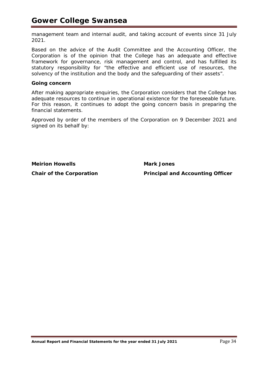management team and internal audit, and taking account of events since 31 July 2021.

Based on the advice of the Audit Committee and the Accounting Officer, the Corporation is of the opinion that the College has an adequate and effective framework for governance, risk management and control, and has fulfilled its statutory responsibility for "*the effective and efficient use of resources, the solvency of the institution and the body and the safeguarding of their assets*".

#### **Going concern**

After making appropriate enquiries, the Corporation considers that the College has adequate resources to continue in operational existence for the foreseeable future. For this reason, it continues to adopt the going concern basis in preparing the financial statements.

Approved by order of the members of the Corporation on 9 December 2021 and signed on its behalf by:

**Meirion Howells Mark Jones**

**Chair of the Corporation Principal and Accounting Officer**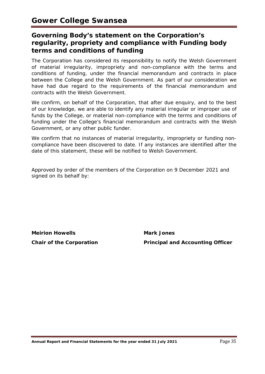# **Governing Body's statement on the Corporation's regularity, propriety and compliance with Funding body terms and conditions of funding**

The Corporation has considered its responsibility to notify the Welsh Government of material irregularity, impropriety and non-compliance with the terms and conditions of funding, under the financial memorandum and contracts in place between the College and the Welsh Government. As part of our consideration we have had due regard to the requirements of the financial memorandum and contracts with the Welsh Government.

We confirm, on behalf of the Corporation, that after due enquiry, and to the best of our knowledge, we are able to identify any material irregular or improper use of funds by the College, or material non-compliance with the terms and conditions of funding under the College's financial memorandum and contracts with the Welsh Government, or any other public funder.

We confirm that no instances of material irregularity, impropriety or funding noncompliance have been discovered to date. If any instances are identified after the date of this statement, these will be notified to Welsh Government.

Approved by order of the members of the Corporation on 9 December 2021 and signed on its behalf by:

**Meirion Howells Mark Jones**

**Chair of the Corporation Principal and Accounting Officer**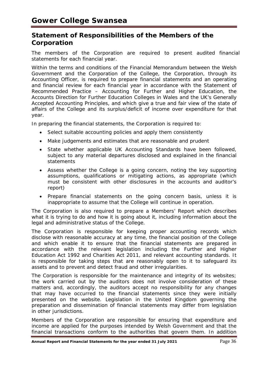# **Statement of Responsibilities of the Members of the Corporation**

The members of the Corporation are required to present audited financial statements for each financial year.

Within the terms and conditions of the Financial Memorandum between the Welsh Government and the Corporation of the College, the Corporation, through its Accounting Officer, is required to prepare financial statements and an operating and financial review for each financial year in accordance with the *Statement of Recommended Practice – Accounting for Further and Higher Education,* the *Accounts Direction for Further Education Colleges in Wales* and the UK's Generally Accepted Accounting Principles, and which give a true and fair view of the state of affairs of the College and its surplus/deficit of income over expenditure for that year.

In preparing the financial statements, the Corporation is required to:

- Select suitable accounting policies and apply them consistently
- Make judgements and estimates that are reasonable and prudent
- State whether applicable UK Accounting Standards have been followed, subject to any material departures disclosed and explained in the financial statements
- Assess whether the College is a going concern, noting the key supporting assumptions, qualifications or mitigating actions, as appropriate (which must be consistent with other disclosures in the accounts and auditor's report)
- Prepare financial statements on the going concern basis, unless it is inappropriate to assume that the College will continue in operation.

The Corporation is also required to prepare a Members' Report which describes what it is trying to do and how it is going about it, including information about the legal and administrative status of the College.

The Corporation is responsible for keeping proper accounting records which disclose with reasonable accuracy at any time, the financial position of the College and which enable it to ensure that the financial statements are prepared in accordance with the relevant legislation including the Further and Higher Education Act 1992 and Charities Act 2011, and relevant accounting standards. It is responsible for taking steps that are reasonably open to it to safeguard its assets and to prevent and detect fraud and other irregularities.

The Corporation is responsible for the maintenance and integrity of its websites; the work carried out by the auditors does not involve consideration of these matters and, accordingly, the auditors accept no responsibility for any changes that may have occurred to the financial statements since they were initially presented on the website. Legislation in the United Kingdom governing the preparation and dissemination of financial statements may differ from legislation in other jurisdictions.

Members of the Corporation are responsible for ensuring that expenditure and income are applied for the purposes intended by Welsh Government and that the financial transactions conform to the authorities that govern them. In addition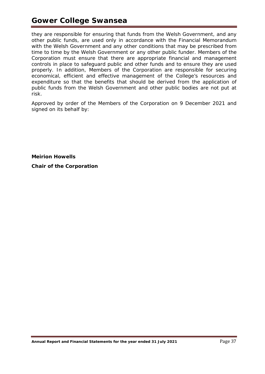# **Gower College Swansea**

they are responsible for ensuring that funds from the Welsh Government, and any other public funds, are used only in accordance with the Financial Memorandum with the Welsh Government and any other conditions that may be prescribed from time to time by the Welsh Government or any other public funder. Members of the Corporation must ensure that there are appropriate financial and management controls in place to safeguard public and other funds and to ensure they are used properly. In addition, Members of the Corporation are responsible for securing economical, efficient and effective management of the College's resources and expenditure so that the benefits that should be derived from the application of public funds from the Welsh Government and other public bodies are not put at risk.

Approved by order of the Members of the Corporation on 9 December 2021 and signed on its behalf by:

**Meirion Howells Chair of the Corporation**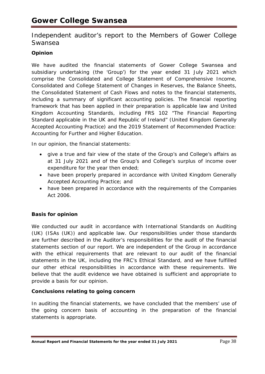# Independent auditor's report to the Members of Gower College Swansea

# **Opinion**

We have audited the financial statements of Gower College Swansea and subsidiary undertaking (the 'Group') for the year ended 31 July 2021 which comprise the Consolidated and College Statement of Comprehensive Income, Consolidated and College Statement of Changes in Reserves, the Balance Sheets, the Consolidated Statement of Cash Flows and notes to the financial statements, including a summary of significant accounting policies. The financial reporting framework that has been applied in their preparation is applicable law and United Kingdom Accounting Standards, including FRS 102 "The Financial Reporting Standard applicable in the UK and Republic of Ireland" (United Kingdom Generally Accepted Accounting Practice) and the 2019 Statement of Recommended Practice: Accounting for Further and Higher Education.

In our opinion, the financial statements:

- give a true and fair view of the state of the Group's and College's affairs as at 31 July 2021 and of the Group's and College's surplus of income over expenditure for the year then ended;
- have been properly prepared in accordance with United Kingdom Generally Accepted Accounting Practice; and
- have been prepared in accordance with the requirements of the Companies Act 2006.

# **Basis for opinion**

We conducted our audit in accordance with International Standards on Auditing (UK) (ISAs (UK)) and applicable law. Our responsibilities under those standards are further described in the Auditor's responsibilities for the audit of the financial statements section of our report. We are independent of the Group in accordance with the ethical requirements that are relevant to our audit of the financial statements in the UK, including the FRC's Ethical Standard, and we have fulfilled our other ethical responsibilities in accordance with these requirements. We believe that the audit evidence we have obtained is sufficient and appropriate to provide a basis for our opinion.

# **Conclusions relating to going concern**

In auditing the financial statements, we have concluded that the members' use of the going concern basis of accounting in the preparation of the financial statements is appropriate.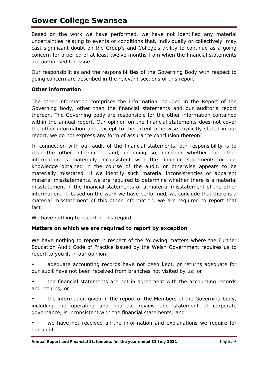# **Gower College Swansea**

Based on the work we have performed, we have not identified any material uncertainties relating to events or conditions that, individually or collectively, may cast significant doubt on the Group's and College's ability to continue as a going concern for a period of at least twelve months from when the financial statements are authorised for issue.

Our responsibilities and the responsibilities of the Governing Body with respect to going concern are described in the relevant sections of this report.

# **Other information**

The other information comprises the information included in the Report of the Governing body, other than the financial statements and our auditor's report thereon. The Governing body are responsible for the other information contained within the annual report. Our opinion on the financial statements does not cover the other information and, except to the extent otherwise explicitly stated in our report, we do not express any form of assurance conclusion thereon.

In connection with our audit of the financial statements, our responsibility is to read the other information and, in doing so, consider whether the other information is materially inconsistent with the financial statements or our knowledge obtained in the course of the audit, or otherwise appears to be materially misstated. If we identify such material inconsistencies or apparent material misstatements, we are required to determine whether there is a material misstatement in the financial statements or a material misstatement of the other information. If, based on the work we have performed, we conclude that there is a material misstatement of this other information, we are required to report that fact.

We have nothing to report in this regard.

# **Matters on which we are required to report by exception**

We have nothing to report in respect of the following matters where the Further Education Audit Code of Practice issued by the Welsh Government requires us to report to you if, in our opinion:

adequate accounting records have not been kept, or returns adequate for our audit have not been received from branches not visited by us; or

• the financial statements are not in agreement with the accounting records and returns; or

• the information given in the report of the Members of the Governing body, including the operating and financial review and statement of corporate governance, is inconsistent with the financial statements; and

we have not received all the information and explanations we require for our audit.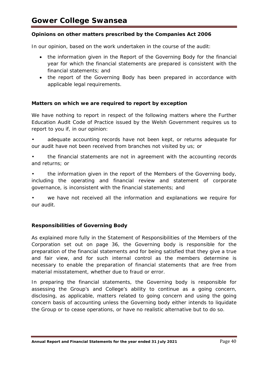# **Opinions on other matters prescribed by the Companies Act 2006**

In our opinion, based on the work undertaken in the course of the audit:

- the information given in the Report of the Governing Body for the financial year for which the financial statements are prepared is consistent with the financial statements; and
- the report of the Governing Body has been prepared in accordance with applicable legal requirements.

# **Matters on which we are required to report by exception**

We have nothing to report in respect of the following matters where the Further Education Audit Code of Practice issued by the Welsh Government requires us to report to you if, in our opinion:

• adequate accounting records have not been kept, or returns adequate for our audit have not been received from branches not visited by us; or

• the financial statements are not in agreement with the accounting records and returns; or

• the information given in the report of the Members of the Governing body, including the operating and financial review and statement of corporate governance, is inconsistent with the financial statements; and

we have not received all the information and explanations we require for our audit.

# **Responsibilities of Governing Body**

As explained more fully in the Statement of Responsibilities of the Members of the Corporation set out on page 36, the Governing body is responsible for the preparation of the financial statements and for being satisfied that they give a true and fair view, and for such internal control as the members determine is necessary to enable the preparation of financial statements that are free from material misstatement, whether due to fraud or error.

In preparing the financial statements, the Governing body is responsible for assessing the Group's and College's ability to continue as a going concern, disclosing, as applicable, matters related to going concern and using the going concern basis of accounting unless the Governing body either intends to liquidate the Group or to cease operations, or have no realistic alternative but to do so.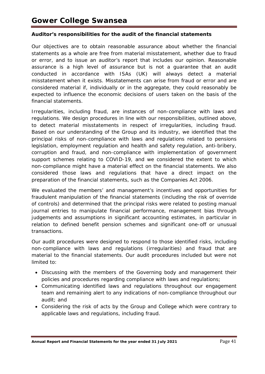# **Auditor's responsibilities for the audit of the financial statements**

Our objectives are to obtain reasonable assurance about whether the financial statements as a whole are free from material misstatement, whether due to fraud or error, and to issue an auditor's report that includes our opinion. Reasonable assurance is a high level of assurance but is not a guarantee that an audit conducted in accordance with ISAs (UK) will always detect a material misstatement when it exists. Misstatements can arise from fraud or error and are considered material if, individually or in the aggregate, they could reasonably be expected to influence the economic decisions of users taken on the basis of the financial statements.

Irregularities, including fraud, are instances of non-compliance with laws and regulations. We design procedures in line with our responsibilities, outlined above, to detect material misstatements in respect of irregularities, including fraud. Based on our understanding of the Group and its industry, we identified that the principal risks of non-compliance with laws and regulations related to pensions legislation, employment regulation and health and safety regulation, anti-bribery, corruption and fraud, and non-compliance with implementation of government support schemes relating to COVID-19, and we considered the extent to which non-compliance might have a material effect on the financial statements. We also considered those laws and regulations that have a direct impact on the preparation of the financial statements, such as the Companies Act 2006.

We evaluated the members' and management's incentives and opportunities for fraudulent manipulation of the financial statements (including the risk of override of controls) and determined that the principal risks were related to posting manual journal entries to manipulate financial performance, management bias through judgements and assumptions in significant accounting estimates, in particular in relation to defined benefit pension schemes and significant one-off or unusual transactions.

Our audit procedures were designed to respond to those identified risks, including non-compliance with laws and regulations (irregularities) and fraud that are material to the financial statements. Our audit procedures included but were not limited to:

- Discussing with the members of the Governing body and management their policies and procedures regarding compliance with laws and regulations;
- Communicating identified laws and regulations throughout our engagement team and remaining alert to any indications of non-compliance throughout our audit; and
- Considering the risk of acts by the Group and College which were contrary to applicable laws and regulations, including fraud.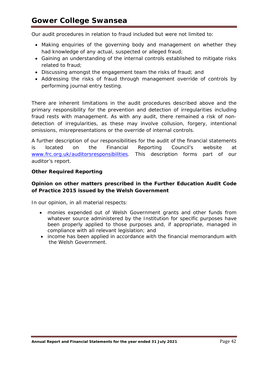Our audit procedures in relation to fraud included but were not limited to:

- Making enquiries of the governing body and management on whether they had knowledge of any actual, suspected or alleged fraud;
- Gaining an understanding of the internal controls established to mitigate risks related to fraud;
- Discussing amongst the engagement team the risks of fraud; and
- Addressing the risks of fraud through management override of controls by performing journal entry testing.

There are inherent limitations in the audit procedures described above and the primary responsibility for the prevention and detection of irregularities including fraud rests with management. As with any audit, there remained a risk of nondetection of irregularities, as these may involve collusion, forgery, intentional omissions, misrepresentations or the override of internal controls.

A further description of our responsibilities for the audit of the financial statements is located on the Financial Reporting Council's website at [www.frc.org.uk/auditorsresponsibilities.](http://www.frc.org.uk/auditorsresponsibilities) This description forms part of our auditor's report.

# **Other Required Reporting**

# **Opinion on other matters prescribed in the Further Education Audit Code of Practice 2015 issued by the Welsh Government**

In our opinion, in all material respects:

- monies expended out of Welsh Government grants and other funds from whatever source administered by the Institution for specific purposes have been properly applied to those purposes and, if appropriate, managed in compliance with all relevant legislation; and
- income has been applied in accordance with the financial memorandum with the Welsh Government.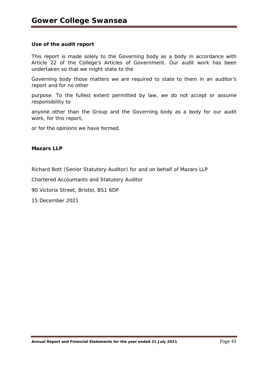# **Use of the audit report**

This report is made solely to the Governing body as a body in accordance with Article 22 of the College's Articles of Government. Our audit work has been undertaken so that we might state to the

Governing body those matters we are required to state to them in an auditor's report and for no other

purpose. To the fullest extent permitted by law, we do not accept or assume responsibility to

anyone other than the Group and the Governing body as a body for our audit work, for this report,

or for the opinions we have formed.

# *Mazars LLP*

Richard Bott (Senior Statutory Auditor) for and on behalf of Mazars LLP

Chartered Accountants and Statutory Auditor

90 Victoria Street, Bristol, BS1 6DP

15 December 2021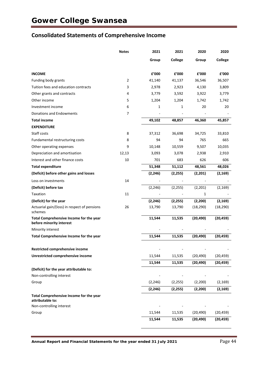# **Consolidated Statements of Comprehensive Income**

|                                                                     | <b>Notes</b> | 2021     | 2021     | 2020      | 2020      |
|---------------------------------------------------------------------|--------------|----------|----------|-----------|-----------|
|                                                                     |              | Group    | College  | Group     | College   |
| <b>INCOME</b>                                                       |              | £'000    | £'000    | £'000     | £'000     |
| Funding body grants                                                 | 2            | 41,140   | 41,137   | 36,546    | 36,507    |
| Tuition fees and education contracts                                | 3            | 2,978    | 2,923    | 4,130     | 3,809     |
| Other grants and contracts                                          | 4            | 3,779    | 3,592    | 3,922     | 3,779     |
| Other income                                                        | 5            | 1,204    | 1,204    | 1,742     | 1,742     |
| Investment income                                                   | 6            | 1        | 1        | 20        | 20        |
| Donations and Endowments                                            | 7            |          |          |           |           |
| <b>Total income</b>                                                 |              | 49,102   | 48,857   | 46,360    | 45,857    |
| <b>EXPENDITURE</b>                                                  |              |          |          |           |           |
| Staff costs                                                         | 8            | 37,312   | 36,698   | 34,725    | 33,810    |
| Fundamental restructuring costs                                     | 8            | 94       | 94       | 765       | 665       |
| Other operating expenses                                            | 9            | 10,148   | 10,559   | 9,507     | 10,035    |
| Depreciation and amortisation                                       | 12,13        | 3,093    | 3,078    | 2,938     | 2,910     |
| Interest and other finance costs                                    | 10           | 701      | 683      | 626       | 606       |
| <b>Total expenditure</b>                                            |              | 51,348   | 51,112   | 48,561    | 48,026    |
| (Deficit) before other gains and losses                             |              | (2, 246) | (2, 255) | (2,201)   | (2, 169)  |
| Loss on investments                                                 | 14           |          |          |           |           |
| (Deficit) before tax                                                |              | (2, 246) | (2, 255) | (2, 201)  | (2, 169)  |
| Taxation                                                            | 11           |          |          | 1         |           |
| (Deficit) for the year                                              |              | (2, 246) | (2, 255) | (2, 200)  | (2, 169)  |
| Actuarial gain/(loss) in respect of pensions<br>schemes             | 26           | 13,790   | 13,790   | (18, 290) | (18, 290) |
| Total Comprehensive Income for the year<br>before minority interest |              | 11,544   | 11,535   | (20, 490) | (20, 459) |
| Minority interest                                                   |              |          |          |           |           |
| Total Comprehensive Income for the year                             |              | 11,544   | 11,535   | (20, 490) | (20, 459) |
| Restricted comprehensive income                                     |              |          |          |           |           |
| Unrestricted comprehensive income                                   |              | 11,544   | 11,535   | (20, 490) | (20, 459) |
|                                                                     |              | 11,544   | 11,535   | (20, 490) | (20, 459) |
| (Deficit) for the year attributable to:                             |              |          |          |           |           |
| Non-controlling interest                                            |              |          |          |           |           |
| Group                                                               |              | (2, 246) | (2, 255) | (2,200)   | (2, 169)  |
|                                                                     |              | (2, 246) | (2, 255) | (2, 200)  | (2, 169)  |
| Total Comprehensive Income for the year<br>attributable to:         |              |          |          |           |           |
| Non-controlling interest                                            |              |          |          |           |           |
| Group                                                               |              | 11,544   | 11,535   | (20, 490) | (20, 459) |
|                                                                     |              | 11,544   | 11,535   | (20, 490) | (20, 459) |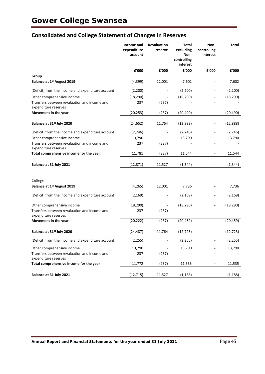# **Consolidated and College Statement of Changes in Reserves**

|                                                                      | Income and<br>expenditure<br>account | Revaluation<br>reserve   | <b>Total</b><br>excluding<br>Non-<br>controlling<br>interest | Non-<br>controlling<br>interest | <b>Total</b> |
|----------------------------------------------------------------------|--------------------------------------|--------------------------|--------------------------------------------------------------|---------------------------------|--------------|
|                                                                      | £'000                                | £'000                    | £'000                                                        | £'000                           | £'000        |
| Group                                                                |                                      |                          |                                                              |                                 |              |
| Balance at 1st August 2019                                           | (4,399)                              | 12,001                   | 7,602                                                        |                                 | 7,602        |
| (Deficit) from the income and expenditure account                    | (2,200)                              |                          | (2, 200)                                                     | ÷,                              | (2,200)      |
| Other comprehensive income                                           | (18, 290)                            |                          | (18, 290)                                                    |                                 | (18, 290)    |
| Transfers between revaluation and income and<br>expenditure reserves | 237                                  | (237)                    |                                                              |                                 |              |
| Movement in the year                                                 | (20, 253)                            | (237)                    | (20, 490)                                                    | $\Box$                          | (20, 490)    |
| Balance at 31 <sup>st</sup> July 2020                                | (24, 652)                            | 11,764                   | (12,888)                                                     | -                               | (12,888)     |
| (Deficit) from the income and expenditure account                    | (2, 246)                             |                          | (2, 246)                                                     |                                 | (2, 246)     |
| Other comprehensive income                                           | 13,790                               |                          | 13,790                                                       |                                 | 13,790       |
| Transfers between revaluation and income and<br>expenditure reserves | 237                                  | (237)                    |                                                              |                                 |              |
| Total comprehensive income for the year                              | 11,781                               | (237)                    | 11,544                                                       | ÷,                              | 11,544       |
| Balance at 31 July 2021                                              | (12, 871)                            | 11,527                   | (1, 344)                                                     | ÷,                              | (1, 344)     |
|                                                                      |                                      |                          |                                                              |                                 |              |
| College                                                              |                                      |                          |                                                              |                                 |              |
| Balance at 1st August 2019                                           | (4, 265)                             | 12,001                   | 7,736                                                        |                                 | 7,736        |
| (Deficit) from the income and expenditure account                    | (2, 169)                             | $\overline{\phantom{a}}$ | (2, 169)                                                     |                                 | (2, 169)     |
| Other comprehensive income                                           | (18, 290)                            |                          | (18, 290)                                                    |                                 | (18, 290)    |
| Transfers between revaluation and income and<br>expenditure reserves | 237                                  | (237)                    |                                                              |                                 |              |
| Movement in the year                                                 | (20, 222)                            | (237)                    | (20, 459)                                                    | $\qquad \qquad \blacksquare$    | (20, 459)    |
| Balance at 31 <sup>st</sup> July 2020                                | (24, 487)                            | 11,764                   | (12, 723)                                                    |                                 | (12, 723)    |
| (Deficit) from the income and expenditure account                    | (2, 255)                             |                          | (2, 255)                                                     |                                 | (2, 255)     |
| Other comprehensive income                                           | 13,790                               |                          | 13,790                                                       |                                 | 13,790       |
| Transfers between revaluation and income and<br>expenditure reserves | 237                                  | (237)                    |                                                              |                                 |              |
| Total comprehensive income for the year                              | 11,772                               | (237)                    | 11,535                                                       | ۰                               | 11,535       |
| Balance at 31 July 2021                                              | (12, 715)                            | 11,527                   | (1, 188)                                                     | $\overline{\phantom{a}}$        | (1, 188)     |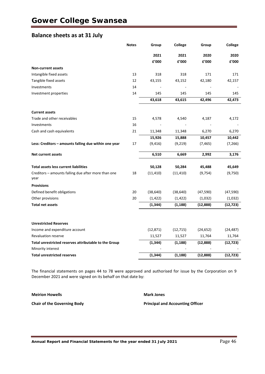# **Balance sheets as at 31 July**

|                                                             | <b>Notes</b> | Group     | College   | Group     | <b>College</b> |
|-------------------------------------------------------------|--------------|-----------|-----------|-----------|----------------|
|                                                             |              | 2021      | 2021      | 2020      | 2020           |
|                                                             |              | £'000     | £'000     | £'000     | f'000          |
| <b>Non-current assets</b>                                   |              |           |           |           |                |
| Intangible fixed assets                                     | 13           | 318       | 318       | 171       | 171            |
| Tangible fixed assets                                       | 12           | 43,155    | 43,152    | 42,180    | 42,157         |
| Investments                                                 | 14           |           |           |           |                |
| Investment properties                                       | 14           | 145       | 145       | 145       | 145            |
|                                                             |              | 43,618    | 43,615    | 42,496    | 42,473         |
| <b>Current assets</b>                                       |              |           |           |           |                |
| Trade and other receivables                                 | 15           | 4,578     | 4,540     | 4,187     | 4,172          |
| Investments                                                 | 16           |           |           |           |                |
| Cash and cash equivalents                                   | 21           | 11,348    | 11,348    | 6,270     | 6,270          |
|                                                             |              | 15,926    | 15,888    | 10,457    | 10,442         |
| Less: Creditors - amounts falling due within one year       | 17           | (9, 416)  | (9, 219)  | (7, 465)  | (7, 266)       |
| <b>Net current assets</b>                                   |              | 6,510     | 6,669     | 2,992     | 3,176          |
| <b>Total assets less current liabilities</b>                |              | 50,128    | 50,284    | 45,488    | 45,649         |
| Creditors - amounts falling due after more than one<br>year | 18           | (11, 410) | (11, 410) | (9, 754)  | (9,750)        |
| <b>Provisions</b>                                           |              |           |           |           |                |
| Defined benefit obligations                                 | 20           | (38, 640) | (38, 640) | (47, 590) | (47, 590)      |
| Other provisions                                            | 20           | (1, 422)  | (1, 422)  | (1,032)   | (1,032)        |
| <b>Total net assets</b>                                     |              | (1, 344)  | (1, 188)  | (12,888)  | (12, 723)      |
|                                                             |              |           |           |           |                |
| <b>Unrestricted Reserves</b>                                |              |           |           |           |                |
| Income and expenditure account                              |              | (12, 871) | (12, 715) | (24, 652) | (24, 487)      |
| <b>Revaluation reserve</b>                                  |              | 11,527    | 11,527    | 11,764    | 11,764         |
| Total unrestricted reserves attributable to the Group       |              | (1, 344)  | (1, 188)  | (12, 888) | (12, 723)      |
| Minority interest                                           |              |           |           |           |                |
| <b>Total unrestricted reserves</b>                          |              | (1, 344)  | (1, 188)  | (12, 888) | (12, 723)      |

The financial statements on pages 44 to 78 were approved and authorised for issue by the Corporation on 9 December 2021 and were signed on its behalf on that date by:

| <b>Meirion Howells</b> |
|------------------------|
|                        |

**Mark Jones** 

**Chair of the Governing Body Principal and Accounting Officer**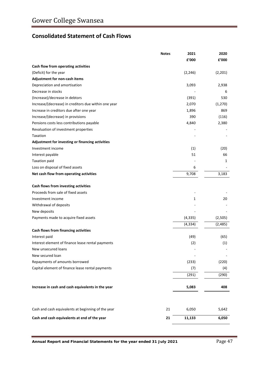# **Consolidated Statement of Cash Flows**

|                                                      | <b>Notes</b> | 2021     | 2020     |
|------------------------------------------------------|--------------|----------|----------|
|                                                      |              | £'000    | £'000    |
| Cash flow from operating activities                  |              |          |          |
| (Deficit) for the year                               |              | (2, 246) | (2,201)  |
| Adjustment for non-cash items                        |              |          |          |
| Depreciation and amortisation                        |              | 3,093    | 2,938    |
| Decrease in stocks                                   |              |          | 6        |
| (Increase)/decrease in debtors                       |              | (391)    | 530      |
| Increase/(decrease) in creditors due within one year |              | 2,070    | (1,270)  |
| Increase in creditors due after one year             |              | 1,896    | 869      |
| Increase/(decrease) in provisions                    |              | 390      | (116)    |
| Pensions costs less contributions payable            |              | 4,840    | 2,380    |
| Revaluation of investment properties                 |              |          |          |
| Taxation                                             |              |          |          |
| Adjustment for investing or financing activities     |              |          |          |
| Investment income                                    |              | (1)      | (20)     |
| Interest payable                                     |              | 51       | 66       |
| <b>Taxation paid</b>                                 |              |          | 1        |
| Loss on disposal of fixed assets                     |              | 6        |          |
| Net cash flow from operating activities              |              | 9,708    | 3,183    |
| Cash flows from investing activities                 |              |          |          |
| Proceeds from sale of fixed assets                   |              |          |          |
| Investment income                                    |              | 1        | 20       |
| Withdrawal of deposits                               |              |          |          |
| New deposits                                         |              |          |          |
| Payments made to acquire fixed assets                |              | (4, 335) | (2,505)  |
|                                                      |              | (4, 334) | (2, 485) |
| Cash flows from financing activities                 |              |          |          |
| Interest paid                                        |              | (49)     | (65)     |
| Interest element of finance lease rental payments    |              | (2)      | (1)      |
| New unsecured loans                                  |              |          |          |
| New secured loan                                     |              |          |          |
| Repayments of amounts borrowed                       |              | (233)    | (220)    |
| Capital element of finance lease rental payments     |              | (7)      | (4)      |
|                                                      |              | (291)    | (290)    |
| Increase in cash and cash equivalents in the year    |              | 5,083    | 408      |
|                                                      |              |          |          |
| Cash and cash equivalents at beginning of the year   | 21           | 6,050    | 5,642    |
| Cash and cash equivalents at end of the year         | 21           | 11,133   | 6,050    |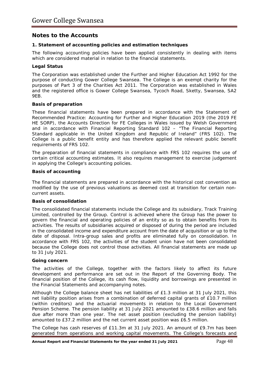# **Notes to the Accounts**

# **1. Statement of accounting policies and estimation techniques**

The following accounting policies have been applied consistently in dealing with items which are considered material in relation to the financial statements.

# **Legal Status**

The Corporation was established under the Further and Higher Education Act 1992 for the purpose of conducting Gower College Swansea. The College is an exempt charity for the purposes of Part 3 of the Charities Act 2011. The Corporation was established in Wales and the registered office is Gower College Swansea, Tycoch Road, Sketty, Swansea, SA2 9EB.

# **Basis of preparation**

These financial statements have been prepared in accordance with the *Statement of Recommended Practice: Accounting for Further and Higher Education 2019* (the 2019 FE HE SORP), the *Accounts Direction for FE Colleges in Wales* issued by Welsh Government and in accordance with Financial Reporting Standard 102 – *"The Financial Reporting Standard applicable in the United Kingdom and Republic of Ireland"* (FRS 102). The College is a public benefit entity and has therefore applied the relevant public benefit requirements of FRS 102.

The preparation of financial statements in compliance with FRS 102 requires the use of certain critical accounting estimates. It also requires management to exercise judgement in applying the College's accounting policies.

# **Basis of accounting**

The financial statements are prepared in accordance with the historical cost convention as modified by the use of previous valuations as deemed cost at transition for certain noncurrent assets.

# **Basis of consolidation**

The consolidated financial statements include the College and its subsidiary, Track Training Limited, controlled by the Group. Control is achieved where the Group has the power to govern the financial and operating policies of an entity so as to obtain benefits from its activities. The results of subsidiaries acquired or disposed of during the period are included in the consolidated income and expenditure account from the date of acquisition or up to the date of disposal. Intra-group sales and profits are eliminated fully on consolidation. In accordance with FRS 102, the activities of the student union have not been consolidated because the College does not control those activities. All financial statements are made up to 31 July 2021.

## **Going concern**

The activities of the College, together with the factors likely to affect its future development and performance are set out in the Report of the Governing Body. The financial position of the College, its cash flow, liquidity and borrowings are presented in the Financial Statements and accompanying notes.

Although the College balance sheet has net liabilities of £1.3 million at 31 July 2021, this net liability position arises from a combination of deferred capital grants of £10.7 million (within creditors) and the actuarial movements in relation to the Local Government Pension Scheme. The pension liability at 31 July 2021 amounted to £38.6 million and falls due after more than one year. The net asset position (excluding the pension liability) amounted to £37.2 million and the net current asset position was £6.5 million.

The College has cash reserves of £11.3m at 31 July 2021. An amount of £9.7m has been generated from operations and working capital movements. The College's forecasts and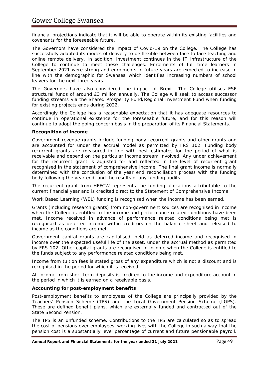financial projections indicate that it will be able to operate within its existing facilities and covenants for the foreseeable future.

The Governors have considered the impact of Covid-19 on the College. The College has successfully adapted its modes of delivery to be flexible between face to face teaching and online remote delivery. In addition, investment continues in the IT Infrastructure of the College to continue to meet these challenges. Enrolments of full time learners in September 2021 were strong and enrolments in future years are expected to increase in line with the demographic for Swansea which identifies increasing numbers of school leavers for the next three years.

The Governors have also considered the impact of Brexit. The College utilises ESF structural funds of around £3 million annually. The College will seek to access successor funding streams via the Shared Prosperity Fund/Regional Investment Fund when funding for existing projects ends during 2022.

Accordingly the College has a reasonable expectation that it has adequate resources to continue in operational existence for the foreseeable future, and for this reason will continue to adopt the going concern basis in the preparation of its Financial Statements.

# **Recognition of income**

Government revenue grants include funding body recurrent grants and other grants and are accounted for under the accrual model as permitted by FRS 102. Funding body recurrent grants are measured in line with best estimates for the period of what is receivable and depend on the particular income stream involved. Any under achievement for the recurrent grant is adjusted for and reflected in the level of recurrent grant recognised in the statement of comprehensive income. The final grant income is normally determined with the conclusion of the year end reconciliation process with the funding body following the year end, and the results of any funding audits.

The recurrent grant from HEFCW represents the funding allocations attributable to the current financial year and is credited direct to the Statement of Comprehensive Income.

Work Based Learning (WBL) funding is recognised when the income has been earned.

Grants (including research grants) from non-government sources are recognised in income when the College is entitled to the income and performance related conditions have been met. Income received in advance of performance related conditions being met is recognised as deferred income within creditors on the balance sheet and released to income as the conditions are met.

Government capital grants are capitalised, held as deferred income and recognised in income over the expected useful life of the asset, under the accrual method as permitted by FRS 102. Other capital grants are recognised in income when the College is entitled to the funds subject to any performance related conditions being met.

Income from tuition fees is stated gross of any expenditure which is not a discount and is recognised in the period for which it is received.

All income from short-term deposits is credited to the income and expenditure account in the period in which it is earned on a receivable basis.

## **Accounting for post-employment benefits**

Post-employment benefits to employees of the College are principally provided by the Teachers' Pension Scheme (TPS) and the Local Government Pension Scheme (LGPS). These are defined benefit plans, which are externally funded and contracted out of the State Second Pension.

The TPS is an unfunded scheme. Contributions to the TPS are calculated so as to spread the cost of pensions over employees' working lives with the College in such a way that the pension cost is a substantially level percentage of current and future pensionable payroll.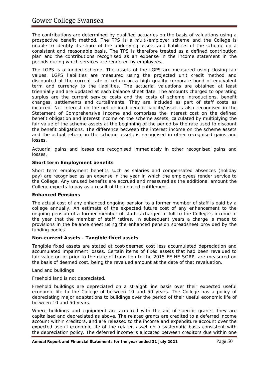The contributions are determined by qualified actuaries on the basis of valuations using a prospective benefit method. The TPS is a multi-employer scheme and the College is unable to identify its share of the underlying assets and liabilities of the scheme on a consistent and reasonable basis. The TPS is therefore treated as a defined contribution plan and the contributions recognised as an expense in the income statement in the periods during which services are rendered by employees.

The LGPS is a funded scheme. The assets of the LGPS are measured using closing fair values. LGPS liabilities are measured using the projected unit credit method and discounted at the current rate of return on a high quality corporate bond of equivalent term and currency to the liabilities. The actuarial valuations are obtained at least triennially and are updated at each balance sheet date. The amounts charged to operating surplus are the current service costs and the costs of scheme introductions, benefit changes, settlements and curtailments. They are included as part of staff costs as incurred. Net interest on the net defined benefit liability/asset is also recognised in the Statement of Comprehensive Income and comprises the interest cost on the defined benefit obligation and interest income on the scheme assets, calculated by multiplying the fair value of the scheme assets at the beginning of the period by the rate used to discount the benefit obligations. The difference between the interest income on the scheme assets and the actual return on the scheme assets is recognised in other recognised gains and losses.

Actuarial gains and losses are recognised immediately in other recognised gains and losses.

# **Short term Employment benefits**

Short term employment benefits such as salaries and compensated absences (holiday pay) are recognised as an expense in the year in which the employees render service to the College. Any unused benefits are accrued and measured as the additional amount the College expects to pay as a result of the unused entitlement.

## **Enhanced Pensions**

The actual cost of any enhanced ongoing pension to a former member of staff is paid by a college annually. An estimate of the expected future cost of any enhancement to the ongoing pension of a former member of staff is charged in full to the College's income in the year that the member of staff retires. In subsequent years a charge is made to provisions in the balance sheet using the enhanced pension spreadsheet provided by the funding bodies.

## **Non-current Assets - Tangible fixed assets**

Tangible fixed assets are stated at cost/deemed cost less accumulated depreciation and accumulated impairment losses. Certain items of fixed assets that had been revalued to fair value on or prior to the date of transition to the 2015 FE HE SORP, are measured on the basis of deemed cost, being the revalued amount at the date of that revaluation.

## *Land and buildings*

Freehold land is not depreciated.

Freehold buildings are depreciated on a straight line basis over their expected useful economic life to the College of between 10 and 50 years. The College has a policy of depreciating major adaptations to buildings over the period of their useful economic life of between 10 and 50 years.

Where buildings and equipment are acquired with the aid of specific grants, they are capitalised and depreciated as above. The related grants are credited to a deferred income account within creditors, and are released to the income and expenditure account over the expected useful economic life of the related asset on a systematic basis consistent with the depreciation policy. The deferred income is allocated between creditors due within one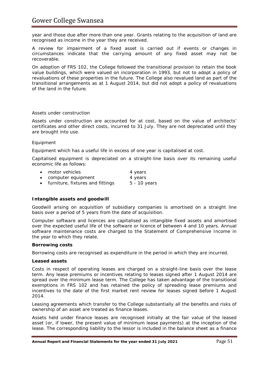year and those due after more than one year. Grants relating to the acquisition of land are recognised as income in the year they are received.

A review for impairment of a fixed asset is carried out if events or changes in circumstances indicate that the carrying amount of any fixed asset may not be recoverable.

On adoption of FRS 102, the College followed the transitional provision to retain the book value buildings, which were valued on incorporation in 1993, but not to adopt a policy of revaluations of these properties in the future. The College also revalued land as part of the transitional arrangements as at 1 August 2014, but did not adopt a policy of revaluations of the land in the future.

# *Assets under construction*

Assets under construction are accounted for at cost, based on the value of architects' certificates and other direct costs, incurred to 31 July. They are not depreciated until they are brought into use.

# *Equipment*

Equipment which has a useful life in excess of one year is capitalised at cost.

Capitalised equipment is depreciated on a straight-line basis over its remaining useful economic life as follows:

| • motor vehicles                   | 4 years      |
|------------------------------------|--------------|
| • computer equipment               | 4 years      |
| • furniture, fixtures and fittings | 5 - 10 years |

# **Intangible assets and goodwill**

Goodwill arising on acquisition of subsidiary companies is amortised on a straight line basis over a period of 5 years from the date of acquisition.

Computer software and licences are capitalised as intangible fixed assets and amortised over the expected useful life of the software or licence of between 4 and 10 years. Annual software maintenance costs are charged to the Statement of Comprehensive Income in the year to which they relate.

## **Borrowing costs**

Borrowing costs are recognised as expenditure in the period in which they are incurred.

## **Leased assets**

Costs in respect of operating leases are charged on a straight-line basis over the lease term. Any lease premiums or incentives relating to leases signed after 1 August 2014 are spread over the minimum lease term. The College has taken advantage of the transitional exemptions in FRS 102 and has retained the policy of spreading lease premiums and incentives to the date of the first market rent review for leases signed before 1 August 2014.

Leasing agreements which transfer to the College substantially all the benefits and risks of ownership of an asset are treated as finance leases.

Assets held under finance leases are recognised initially at the fair value of the leased asset (or, if lower, the present value of minimum lease payments) at the inception of the lease. The corresponding liability to the lessor is included in the balance sheet as a finance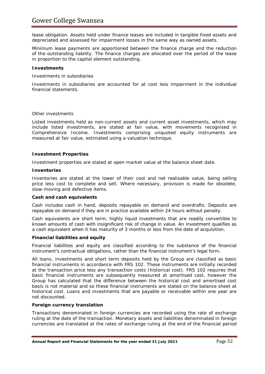lease obligation. Assets held under finance leases are included in tangible fixed assets and depreciated and assessed for impairment losses in the same way as owned assets.

Minimum lease payments are apportioned between the finance charge and the reduction of the outstanding liability. The finance charges are allocated over the period of the lease in proportion to the capital element outstanding.

## **Investments**

*Investments in subsidiaries*

Investments in subsidiaries are accounted for at cost less impairment in the individual financial statements.

## *Other investments*

Listed investments held as non-current assets and current asset investments, which may include listed investments, are stated at fair value, with movements recognised in Comprehensive Income. Investments comprising unquoted equity instruments are measured at fair value, estimated using a valuation technique.

## **Investment Properties**

Investment properties are stated at open market value at the balance sheet date.

### **Inventories**

Inventories are stated at the lower of their cost and net realisable value, being selling price less cost to complete and sell. Where necessary, provision is made for obsolete, slow-moving and defective items.

### **Cash and cash equivalents**

Cash includes cash in hand, deposits repayable on demand and overdrafts. Deposits are repayable on demand if they are in practice available within 24 hours without penalty.

Cash equivalents are short term, highly liquid investments that are readily convertible to known amounts of cash with insignificant risk of change in value. An investment qualifies as a cash equivalent when it has maturity of 3 months or less from the date of acquisition.

## **Financial liabilities and equity**

Financial liabilities and equity are classified according to the substance of the financial instrument's contractual obligations, rather than the financial instrument's legal form.

All loans, investments and short term deposits held by the Group are classified as basic financial instruments in accordance with FRS 102. These instruments are initially recorded at the transaction price less any transaction costs (historical cost). FRS 102 requires that basic financial instruments are subsequently measured at amortised cost, however the Group has calculated that the difference between the historical cost and amortised cost basis is not material and so these financial instruments are stated on the balance sheet at historical cost. Loans and investments that are payable or receivable within one year are not discounted.

## **Foreign currency translation**

Transactions denominated in foreign currencies are recorded using the rate of exchange ruling at the date of the transaction. Monetary assets and liabilities denominated in foreign currencies are translated at the rates of exchange ruling at the end of the financial period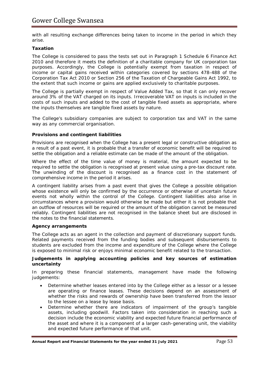with all resulting exchange differences being taken to income in the period in which they arise.

# **Taxation**

The College is considered to pass the tests set out in Paragraph 1 Schedule 6 Finance Act 2010 and therefore it meets the definition of a charitable company for UK corporation tax purposes. Accordingly, the College is potentially exempt from taxation in respect of income or capital gains received within categories covered by sections 478-488 of the Corporation Tax Act 2010 or Section 256 of the Taxation of Chargeable Gains Act 1992, to the extent that such income or gains are applied exclusively to charitable purposes.

The College is partially exempt in respect of Value Added Tax, so that it can only recover around 3% of the VAT charged on its inputs. Irrecoverable VAT on inputs is included in the costs of such inputs and added to the cost of tangible fixed assets as appropriate, where the inputs themselves are tangible fixed assets by nature.

The College's subsidiary companies are subject to corporation tax and VAT in the same way as any commercial organisation.

# **Provisions and contingent liabilities**

Provisions are recognised when the College has a present legal or constructive obligation as a result of a past event, it is probable that a transfer of economic benefit will be required to settle the obligation and a reliable estimate can be made of the amount of the obligation.

Where the effect of the time value of money is material, the amount expected to be required to settle the obligation is recognised at present value using a pre-tax discount rate. The unwinding of the discount is recognised as a finance cost in the statement of comprehensive income in the period it arises.

A contingent liability arises from a past event that gives the College a possible obligation whose existence will only be confirmed by the occurrence or otherwise of uncertain future events not wholly within the control of the College. Contingent liabilities also arise in circumstances where a provision would otherwise be made but either it is not probable that an outflow of resources will be required or the amount of the obligation cannot be measured reliably. Contingent liabilities are not recognised in the balance sheet but are disclosed in the notes to the financial statements.

## **Agency arrangements**

The College acts as an agent in the collection and payment of discretionary support funds. Related payments received from the funding bodies and subsequent disbursements to students are excluded from the income and expenditure of the College where the College is exposed to minimal risk or enjoys minimal economic benefit related to the transaction.

## **Judgements in applying accounting policies and key sources of estimation uncertainty**

In preparing these financial statements, management have made the following judgements:

- Determine whether leases entered into by the College either as a lessor or a lessee are operating or finance leases. These decisions depend on an assessment of whether the risks and rewards of ownership have been transferred from the lessor to the lessee on a lease by lease basis.
- Determine whether there are indicators of impairment of the group's tangible assets, including goodwill. Factors taken into consideration in reaching such a decision include the economic viability and expected future financial performance of the asset and where it is a component of a larger cash-generating unit, the viability and expected future performance of that unit.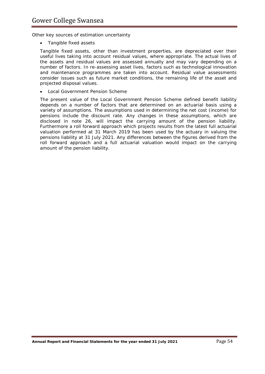*Other key sources of estimation uncertainty*

• *Tangible fixed assets*

Tangible fixed assets, other than investment properties, are depreciated over their useful lives taking into account residual values, where appropriate. The actual lives of the assets and residual values are assessed annually and may vary depending on a number of factors. In re-assessing asset lives, factors such as technological innovation and maintenance programmes are taken into account. Residual value assessments consider issues such as future market conditions, the remaining life of the asset and projected disposal values.

## • *Local Government Pension Scheme*

The present value of the Local Government Pension Scheme defined benefit liability depends on a number of factors that are determined on an actuarial basis using a variety of assumptions. The assumptions used in determining the net cost (income) for pensions include the discount rate. Any changes in these assumptions, which are disclosed in note 26, will impact the carrying amount of the pension liability. Furthermore a roll forward approach which projects results from the latest full actuarial valuation performed at 31 March 2019 has been used by the actuary in valuing the pensions liability at 31 July 2021. Any differences between the figures derived from the roll forward approach and a full actuarial valuation would impact on the carrying amount of the pension liability.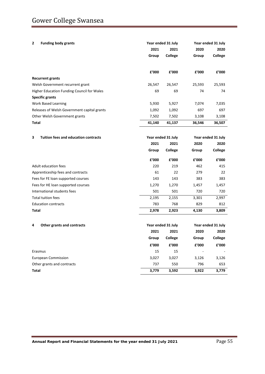| <b>Funding body grants</b><br>2                  | 2021<br>Group          | Year ended 31 July<br>2021<br>College | 2020<br>Group          | Year ended 31 July<br>2020<br><b>College</b> |
|--------------------------------------------------|------------------------|---------------------------------------|------------------------|----------------------------------------------|
|                                                  | £'000                  | £'000                                 | £'000                  | £'000                                        |
| <b>Recurrent grants</b>                          |                        |                                       |                        |                                              |
| Welsh Government recurrent grant                 | 26,547                 | 26,547                                | 25,593                 | 25,593                                       |
| Higher Education Funding Council for Wales       | 69                     | 69                                    | 74                     | 74                                           |
| <b>Specific grants</b>                           |                        |                                       |                        |                                              |
| <b>Work Based Learning</b>                       | 5,930                  | 5,927                                 | 7,074                  | 7,035                                        |
| Releases of Welsh Government capital grants      | 1,092                  | 1,092                                 | 697                    | 697                                          |
| Other Welsh Government grants                    | 7,502                  | 7,502                                 | 3,108                  | 3,108                                        |
| Total                                            | 41,140                 | 41,137                                | 36,546                 | 36,507                                       |
|                                                  |                        |                                       |                        |                                              |
| 3<br><b>Tuition fees and education contracts</b> | Year ended 31 July     |                                       |                        | Year ended 31 July                           |
|                                                  | 2021                   | 2021                                  | 2020                   | 2020                                         |
|                                                  | Group                  | College                               | Group                  | College                                      |
|                                                  | £'000                  | £'000                                 | £'000                  | £'000                                        |
| Adult education fees                             | 220                    | 219                                   | 462                    | 415                                          |
| Apprenticeship fees and contracts                | 61                     | 22                                    | 279                    | 22                                           |
| Fees for FE loan supported courses               | 143                    | 143                                   | 383                    | 383                                          |
| Fees for HE loan supported courses               | 1,270                  | 1,270                                 | 1,457                  | 1,457                                        |
| International students fees                      | 501                    | 501                                   | 720                    | 720                                          |
| <b>Total tuition fees</b>                        | 2,195                  | 2,155                                 | 3,301                  | 2,997                                        |
| <b>Education contracts</b>                       | 783                    | 768                                   | 829                    | 812                                          |
| Total                                            | 2,978                  | 2,923                                 | 4,130                  | 3,809                                        |
| 4<br>Other grants and contracts                  |                        | Year ended 31 July                    |                        | Year ended 31 July                           |
|                                                  | 2021                   | 2021                                  | 2020                   | 2020                                         |
|                                                  | Group                  | College                               | Group                  | College                                      |
|                                                  | ${\bf f}^{\prime}$ 000 | ${\bf f}^{\prime}$ 000                | ${\bf f}^{\prime}$ 000 | ${\bf f}^{\prime}$ 000                       |
| Erasmus                                          | 15                     | 15                                    |                        |                                              |
| <b>European Commission</b>                       | 3,027                  | 3,027                                 | 3,126                  | 3,126                                        |
| Other grants and contracts                       | 737                    | 550                                   | 796                    | 653                                          |
| <b>Total</b>                                     | 3,779                  | 3,592                                 | 3,922                  | 3,779                                        |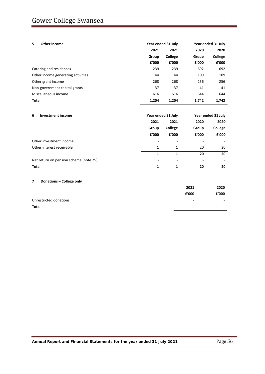| 5.<br>Other income                 | Year ended 31 July |         | Year ended 31 July |         |
|------------------------------------|--------------------|---------|--------------------|---------|
|                                    | 2021               | 2021    | 2020               | 2020    |
|                                    | Group              | College | Group              | College |
|                                    | f'000              | f'000   | f'000              | £'000   |
| Catering and residences            | 239                | 239     | 692                | 692     |
| Other income generating activities | 44                 | 44      | 109                | 109     |
| Other grant income                 | 268                | 268     | 256                | 256     |
| Non-government capital grants      | 37                 | 37      | 41                 | 41      |
| Miscellaneous income               | 616                | 616     | 644                | 644     |
| <b>Total</b>                       | 1.204              | 1,204   | 1.742              | 1.742   |

| <b>Investment income</b><br>6          |                          | Year ended 31 July | Year ended 31 July |         |
|----------------------------------------|--------------------------|--------------------|--------------------|---------|
|                                        | 2021                     | 2021               | 2020               | 2020    |
|                                        | Group                    | College            | Group              | College |
|                                        | f'000                    | £'000              | f'000              | £'000   |
| Other investment income                | ٠                        | -                  |                    |         |
| Other interest receivable              | 1                        | $\mathbf{1}$       | 20                 | 20      |
|                                        | 1                        | 1                  | 20                 | 20      |
| Net return on pension scheme (note 25) | $\overline{\phantom{a}}$ |                    | -                  |         |
| Total                                  | 1                        | 1                  | 20                 | 20      |

## **7 Donations – College only**

|                        | 2021                     | 2020                     |
|------------------------|--------------------------|--------------------------|
|                        | f'000                    | £'000                    |
| Unrestricted donations | $\overline{\phantom{a}}$ | $\sim$                   |
| <b>Total</b>           | $\overline{\phantom{0}}$ | $\overline{\phantom{0}}$ |
|                        |                          |                          |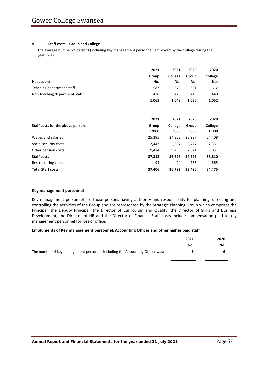#### 8 **Staff costs – Group and College**

The average number of persons (including key management personnel) employed by the College during the year, was:

|                                   | 2021   | 2021    | 2020   | 2020    |
|-----------------------------------|--------|---------|--------|---------|
|                                   | Group  | College | Group  | College |
| <b>Headcount</b>                  | No.    | No.     | No.    | No.     |
| Teaching department staff         | 587    | 578     | 631    | 612     |
| Non-teaching department staff     | 478    | 470     | 449    | 440     |
|                                   | 1,065  | 1,048   | 1,080  | 1,052   |
|                                   |        |         |        |         |
|                                   | 2021   | 2021    | 2020   | 2020    |
| Staff costs for the above persons | Group  | College | Group  | College |
|                                   | £'000  | £'000   | £'000  | £'000   |
| Wages and salaries                | 25,395 | 24,853  | 25,227 | 24,408  |
| Social security costs             | 2,443  | 2,387   | 2,427  | 2,351   |
| Other pension costs               | 9,474  | 9,458   | 7,071  | 7,051   |
| <b>Staff costs</b>                | 37,312 | 36,698  | 34,725 | 33,810  |
| Restructuring costs               | 94     | 94      | 765    | 665     |
| <b>Total Staff costs</b>          | 37,406 | 36,792  | 35,490 | 34,475  |

#### **Key management personnel**

Key management personnel are those persons having authority and responsibility for planning, directing and controlling the activities of the Group and are represented by the Strategic Planning Group which comprises the Principal, the Deputy Principal, the Director of Curriculum and Quality, the Director of Skills and Business Development, the Director of HR and the Director of Finance. Staff costs include compensation paid to key management personnel for loss of office.

#### **Emoluments of Key management personnel, Accounting Officer and other higher paid staff**

|                                                                              | 2021 | 2020 |
|------------------------------------------------------------------------------|------|------|
|                                                                              | No.  | No.  |
| The number of key management personnel including the Accounting Officer was: | 6    |      |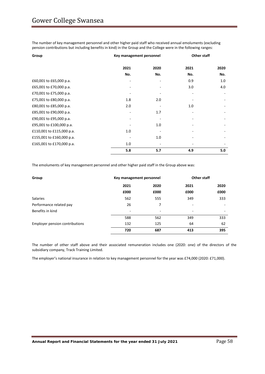The number of key management personnel and other higher paid staff who received annual emoluments (excluding pension contributions but including benefits in kind) in the Group and the College were in the following ranges:

| Group                     |      | Key management personnel |      | <b>Other staff</b> |
|---------------------------|------|--------------------------|------|--------------------|
|                           | 2021 | 2020                     | 2021 | 2020               |
|                           | No.  | No.                      | No.  | No.                |
| £60,001 to £65,000 p.a.   |      |                          | 0.9  | 1.0                |
| £65,001 to £70,000 p.a.   |      |                          | 3.0  | 4.0                |
| £70,001 to £75,000 p.a.   |      |                          |      |                    |
| £75,001 to £80,000 p.a.   | 1.8  | 2.0                      |      |                    |
| £80,001 to £85,000 p.a.   | 2.0  |                          | 1.0  |                    |
| £85,001 to £90,000 p.a.   |      | 1.7                      |      |                    |
| £90,001 to £95,000 p.a.   |      |                          |      |                    |
| £95,001 to £100,000 p.a.  |      | 1.0                      |      |                    |
| £110,001 to £115,000 p.a. | 1.0  |                          |      |                    |
| £155,001 to £160,000 p.a. |      | 1.0                      |      |                    |
| £165,001 to £170,000 p.a. | 1.0  |                          |      |                    |
|                           | 5.8  | 5.7                      | 4.9  | 5.0                |

The emoluments of key management personnel and other higher paid staff in the Group above was:

| Group                          | Key management personnel |      | <b>Other staff</b> |      |
|--------------------------------|--------------------------|------|--------------------|------|
|                                | 2021                     | 2020 | 2021               | 2020 |
|                                | £000                     | £000 | £000               | £000 |
| <b>Salaries</b>                | 562                      | 555  | 349                | 333  |
| Performance related pay        | 26                       | 7    |                    |      |
| Benefits in kind               | ٠                        | ۰    | ۰                  | ۰    |
|                                | 588                      | 562  | 349                | 333  |
| Employer pension contributions | 132                      | 125  | 64                 | 62   |
|                                | 720                      | 687  | 413                | 395  |

The number of other staff above and their associated remuneration includes one (2020: one) of the directors of the subsidiary company, Track Training Limited.

The employer's national insurance in relation to key management personnel for the year was £74,000 (2020: £71,000).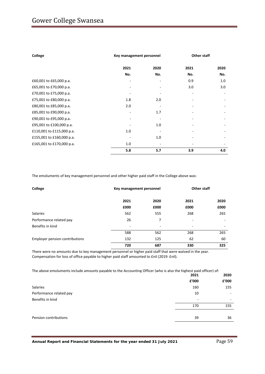| College                   |      | Key management personnel |      | <b>Other staff</b> |
|---------------------------|------|--------------------------|------|--------------------|
|                           | 2021 | 2020                     | 2021 | 2020               |
|                           | No.  | No.                      | No.  | No.                |
| £60,001 to £65,000 p.a.   |      |                          | 0.9  | 1.0                |
| £65,001 to £70,000 p.a.   |      |                          | 3.0  | 3.0                |
| £70,001 to £75,000 p.a.   |      |                          | ۰    |                    |
| £75,001 to £80,000 p.a.   | 1.8  | 2.0                      |      |                    |
| £80,001 to £85,000 p.a.   | 2.0  |                          |      |                    |
| £85,001 to £90,000 p.a.   |      | 1.7                      |      |                    |
| £90,001 to £95,000 p.a.   |      |                          |      |                    |
| £95,001 to £100,000 p.a.  |      | 1.0                      |      |                    |
| £110,001 to £115,000 p.a. | 1.0  |                          |      |                    |
| £155,001 to £160,000 p.a. |      | 1.0                      |      |                    |
| £165,001 to £170,000 p.a. | 1.0  |                          |      |                    |
|                           | 5.8  | 5.7                      | 3.9  | 4.0                |

The emoluments of key management personnel and other higher paid staff in the College above was:

| College                        |      | <b>Other staff</b><br>Key management personnel |      |      |
|--------------------------------|------|------------------------------------------------|------|------|
|                                | 2021 | 2020                                           | 2021 | 2020 |
|                                | £000 | £000                                           | £000 | £000 |
| <b>Salaries</b>                | 562  | 555                                            | 268  | 265  |
| Performance related pay        | 26   | 7                                              |      |      |
| Benefits in kind               | ٠    | ٠                                              | -    | -    |
|                                | 588  | 562                                            | 268  | 265  |
| Employer pension contributions | 132  | 125                                            | 62   | 60   |
|                                | 720  | 687                                            | 330  | 325  |

There were no amounts due to key management personnel or higher paid staff that were waived in the year. Compensation for loss of office payable to higher paid staff amounted to £nil (2019: £nil).

The above emoluments include amounts payable to the Accounting Officer (who is also the highest paid officer) of:

|                         | 2021                     | 2020  |
|-------------------------|--------------------------|-------|
|                         | £'000                    | £'000 |
| Salaries                | 160                      | 155   |
| Performance related pay | 10                       |       |
| Benefits in kind        | $\overline{\phantom{0}}$ | ۰     |
|                         | 170                      | 155   |
|                         |                          |       |
| Pension contributions   | 39                       | 36    |
|                         |                          |       |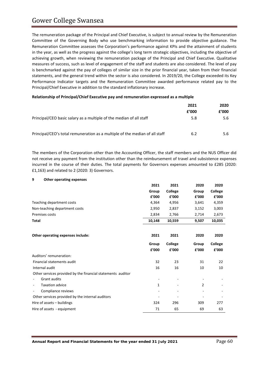**9 Other operating expenses**

The remuneration package of the Principal and Chief Executive, is subject to annual review by the Remuneration Committee of the Governing Body who use benchmarking information to provide objective guidance. The Remuneration Committee assesses the Corporation's performance against KPIs and the attainment of students in the year, as well as the progress against the college's long term strategic objectives, including the objective of achieving growth, when reviewing the remuneration package of the Principal and Chief Executive. Qualitative measures of success, such as level of engagement of the staff and students are also considered. The level of pay is benchmarked against the pay of colleges of similar size in the prior financial year, taken from their financial statements, and the general trend within the sector is also considered. In 2019/20, the College exceeded its Key Performance Indicator targets and the Remuneration Committee awarded performance related pay to the Principal/Chief Executive in addition to the standard inflationary increase.

### **Relationship of Principal/Chief Executive pay and remuneration expressed as a multiple**

|                                                                             | 2021  | 2020  |
|-----------------------------------------------------------------------------|-------|-------|
|                                                                             | f'000 | £'000 |
| Principal/CEO basic salary as a multiple of the median of all staff         | 5.8   | 5.6   |
| Principal/CEO's total remuneration as a multiple of the median of all staff | 6.2   | 5.6   |

The members of the Corporation other than the Accounting Officer, the staff members and the NUS Officer did not receive any payment from the institution other than the reimbursement of travel and subsistence expenses incurred in the course of their duties. The total payments for Governors expenses amounted to £285 (2020: £1,163) and related to 2 (2020: 3) Governors.

| 2021         | 2021    | 2020  | 2020    |
|--------------|---------|-------|---------|
| Group        | College | Group | College |
| £'000        | £'000   | f'000 | £'000   |
| 4,364        | 4,956   | 3,641 | 4,359   |
| 2,950        | 2,837   | 3,152 | 3,003   |
| 2,834        | 2,766   | 2,714 | 2,673   |
| 10,148       | 10,559  | 9,507 | 10,035  |
|              |         |       |         |
| 2021         | 2021    | 2020  | 2020    |
| Group        | College | Group | College |
| £'000        | £'000   | £'000 | £'000   |
|              |         |       |         |
| 32           | 23      | 31    | 22      |
| 16           | 16      | 10    | 10      |
|              |         |       |         |
|              |         |       |         |
| $\mathbf{1}$ |         | 2     |         |
|              |         |       |         |
|              |         |       |         |
| 324          | 296     | 309   | 277     |
|              |         |       |         |
|              |         |       |         |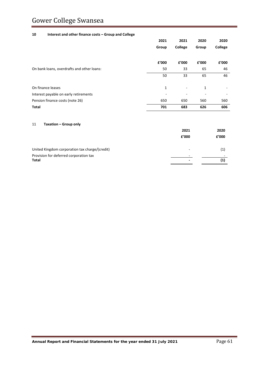# Gower College Swansea

#### **10 Interest and other finance costs – Group and College**

|                                            | 2021  | 2021    | 2020         | 2020    |  |
|--------------------------------------------|-------|---------|--------------|---------|--|
|                                            | Group | College | Group        | College |  |
|                                            | £'000 | f'000   | f'000        | f'000   |  |
| On bank loans, overdrafts and other loans: | 50    | 33      | 65           | 46      |  |
|                                            | 50    | 33      | 65           | 46      |  |
| On finance leases                          | 1     |         | $\mathbf{1}$ |         |  |
| Interest payable on early retirements      |       |         |              | ۰       |  |
| Pension finance costs (note 26)            | 650   | 650     | 560          | 560     |  |
| Total                                      | 701   | 683     | 626          | 606     |  |

#### 11 **Taxation – Group only**

|                                                | 2021                     | 2020  |
|------------------------------------------------|--------------------------|-------|
|                                                | f'000                    | f'000 |
| United Kingdom corporation tax charge/(credit) | $\overline{\phantom{a}}$ | (1)   |
| Provision for deferred corporation tax         | $\overline{\phantom{0}}$ |       |
| Total                                          |                          |       |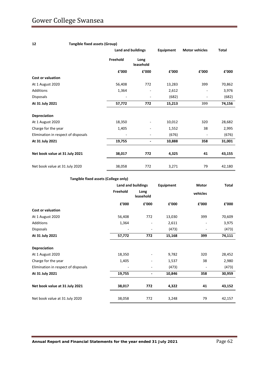# **12 Tangible fixed assets (Group)**

|                                     | <b>Land and buildings</b> |                   | Equipment | <b>Motor vehicles</b> | <b>Total</b> |  |
|-------------------------------------|---------------------------|-------------------|-----------|-----------------------|--------------|--|
|                                     | Freehold                  | Long<br>leasehold |           |                       |              |  |
|                                     | £'000                     | £'000             | £'000     | f'000                 | £'000        |  |
| <b>Cost or valuation</b>            |                           |                   |           |                       |              |  |
| At 1 August 2020                    | 56,408                    | 772               | 13,283    | 399                   | 70,862       |  |
| <b>Additions</b>                    | 1,364                     |                   | 2,612     |                       | 3,976        |  |
| Disposals                           |                           | -                 | (682)     | -                     | (682)        |  |
| At 31 July 2021                     | 57,772                    | 772               | 15,213    | 399                   | 74,156       |  |
| <b>Depreciation</b>                 |                           |                   |           |                       |              |  |
| At 1 August 2020                    | 18,350                    |                   | 10,012    | 320                   | 28,682       |  |
| Charge for the year                 | 1,405                     | ۰                 | 1,552     | 38                    | 2,995        |  |
| Elimination in respect of disposals |                           | ۰                 | (676)     | ٠                     | (676)        |  |
| At 31 July 2021                     | 19,755                    | ۰                 | 10,888    | 358                   | 31,001       |  |
| Net book value at 31 July 2021      | 38,017                    | 772               | 4,325     | 41                    | 43,155       |  |
| Net book value at 31 July 2020      | 38,058                    | 772               | 3,271     | 79                    | 42,180       |  |

## **Tangible fixed assets (College only)**

|                                     |          | Land and buildings | Equipment | Motor    | Total  |
|-------------------------------------|----------|--------------------|-----------|----------|--------|
|                                     | Freehold | Long<br>leasehold  |           | vehicles |        |
|                                     | £'000    | £'000              | £'000     | £'000    | £'000  |
| <b>Cost or valuation</b>            |          |                    |           |          |        |
| At 1 August 2020                    | 56,408   | 772                | 13,030    | 399      | 70,609 |
| Additions                           | 1,364    |                    | 2,611     |          | 3,975  |
| <b>Disposals</b>                    |          | ۰                  | (473)     |          | (473)  |
| At 31 July 2021                     | 57,772   | 772                | 15,168    | 399      | 74,111 |
| <b>Depreciation</b>                 |          |                    |           |          |        |
| At 1 August 2020                    | 18,350   |                    | 9,782     | 320      | 28,452 |
| Charge for the year                 | 1,405    |                    | 1,537     | 38       | 2,980  |
| Elimination in respect of disposals | -        | ۰                  | (473)     |          | (473)  |
| At 31 July 2021                     | 19,755   | -                  | 10,846    | 358      | 30,959 |
| Net book value at 31 July 2021      | 38,017   | 772                | 4,322     | 41       | 43,152 |
| Net book value at 31 July 2020      | 38,058   | 772                | 3,248     | 79       | 42,157 |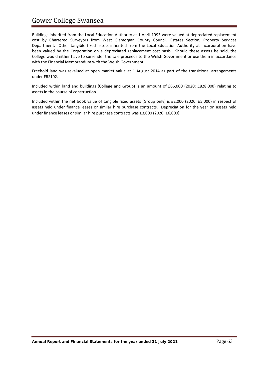# Gower College Swansea

Buildings inherited from the Local Education Authority at 1 April 1993 were valued at depreciated replacement cost by Chartered Surveyors from West Glamorgan County Council, Estates Section, Property Services Department. Other tangible fixed assets inherited from the Local Education Authority at incorporation have been valued by the Corporation on a depreciated replacement cost basis. Should these assets be sold, the College would either have to surrender the sale proceeds to the Welsh Government or use them in accordance with the Financial Memorandum with the Welsh Government.

Freehold land was revalued at open market value at 1 August 2014 as part of the transitional arrangements under FRS102.

Included within land and buildings (College and Group) is an amount of £66,000 (2020: £828,000) relating to assets in the course of construction.

Included within the net book value of tangible fixed assets (Group only) is £2,000 (2020: £5,000) in respect of assets held under finance leases or similar hire purchase contracts. Depreciation for the year on assets held under finance leases or similar hire purchase contracts was £3,000 (2020: £6,000).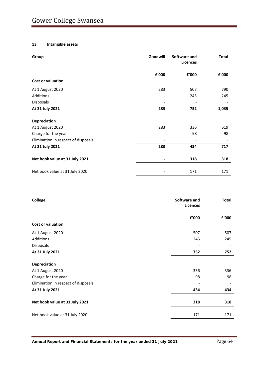# **13 Intangible assets**

| Group                               | Goodwill | Software and<br><b>Licences</b> | Total |
|-------------------------------------|----------|---------------------------------|-------|
|                                     | £'000    | £'000                           | £'000 |
| Cost or valuation                   |          |                                 |       |
| At 1 August 2020                    | 283      | 507                             | 790   |
| Additions                           |          | 245                             | 245   |
| Disposals                           |          |                                 |       |
| At 31 July 2021                     | 283      | 752                             | 1,035 |
| Depreciation                        |          |                                 |       |
| At 1 August 2020                    | 283      | 336                             | 619   |
| Charge for the year                 |          | 98                              | 98    |
| Elimination in respect of disposals |          |                                 |       |
| At 31 July 2021                     | 283      | 434                             | 717   |
| Net book value at 31 July 2021      |          | 318                             | 318   |
| Net book value at 31 July 2020      |          | 171                             | 171   |

| College                             | Software and<br>Licences | <b>Total</b> |
|-------------------------------------|--------------------------|--------------|
|                                     | £'000                    | £'000        |
| <b>Cost or valuation</b>            |                          |              |
| At 1 August 2020                    | 507                      | 507          |
| Additions                           | 245                      | 245          |
| <b>Disposals</b>                    |                          |              |
| At 31 July 2021                     | 752                      | 752          |
| Depreciation                        |                          |              |
| At 1 August 2020                    | 336                      | 336          |
| Charge for the year                 | 98                       | 98           |
| Elimination in respect of disposals |                          |              |
| At 31 July 2021                     | 434                      | 434          |
| Net book value at 31 July 2021      | 318                      | 318          |
| Net book value at 31 July 2020      | 171                      | 171          |
|                                     |                          |              |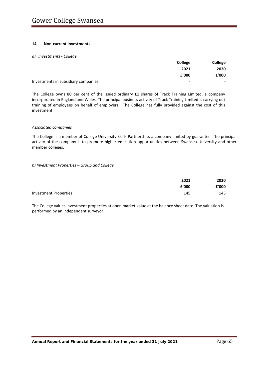### **14 Non-current investments**

#### *a) Investments - College*

|                                     | <b>College</b>           | College                  |
|-------------------------------------|--------------------------|--------------------------|
|                                     | 2021                     | 2020                     |
|                                     | £'000                    | £'000                    |
| Investments in subsidiary companies | $\overline{\phantom{0}}$ | $\overline{\phantom{0}}$ |

The College owns 80 per cent of the issued ordinary £1 shares of Track Training Limited, a company incorporated in England and Wales. The principal business activity of Track Training Limited is carrying out training of employees on behalf of employers. The College has fully provided against the cost of this investment.

#### *Associated companies*

The College is a member of College University Skills Partnership, a company limited by guarantee. The principal activity of the company is to promote higher education opportunities between Swansea University and other member colleges.

#### *b) Investment Properties – Group and College*

|                       | 2021  | 2020  |
|-----------------------|-------|-------|
|                       | £'000 | £'000 |
| Investment Properties | 145   | 145   |

The College values investment properties at open market value at the balance sheet date. The valuation is performed by an independent surveyor.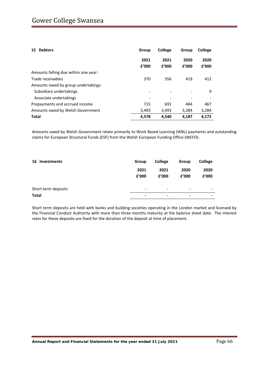| <b>Debtors</b><br>15                 | Group         | College       | Group         | College       |
|--------------------------------------|---------------|---------------|---------------|---------------|
|                                      | 2021<br>f'000 | 2021<br>f'000 | 2020<br>f'000 | 2020<br>f'000 |
| Amounts falling due within one year: |               |               |               |               |
| Trade receivables                    | 370           | 356           | 419           | 412           |
| Amounts owed by group undertakings:  |               |               |               |               |
| Subsidiary undertakings              |               |               |               | 9             |
| Associate undertakings               |               |               |               |               |
| Prepayments and accrued income       | 715           | 691           | 484           | 467           |
| Amounts owed by Welsh Government     | 3,493         | 3,493         | 3.284         | 3,284         |
| Total                                | 4,578         | 4,540         | 4,187         | 4.172         |

Amounts owed by Welsh Government relate primarily to Work Based Learning (WBL) payments and outstanding claims for European Structural Funds (ESF) from the Welsh European Funding Office (WEFO).

| 16<br>Investments   | Group          | <b>College</b>           | Group | College                  |
|---------------------|----------------|--------------------------|-------|--------------------------|
|                     | 2021           | 2021                     | 2020  | 2020                     |
|                     | £'000          | £'000                    | £'000 | £'000                    |
| Short term deposits | -              | $\overline{\phantom{0}}$ | -     | $\overline{\phantom{0}}$ |
| <b>Total</b>        | $\blacksquare$ | $\,$                     | $\,$  | ۰                        |

Short term deposits are held with banks and building societies operating in the London market and licensed by the Financial Conduct Authority with more than three months maturity at the balance sheet date. The interest rates for these deposits are fixed for the duration of the deposit at time of placement.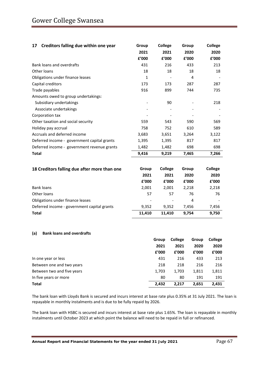| Creditors falling due within one year<br>17  | Group  | College | Group | <b>College</b> |
|----------------------------------------------|--------|---------|-------|----------------|
|                                              | 2021   | 2021    | 2020  | 2020           |
|                                              | £'000  | £'000   | £'000 | £'000          |
| Bank loans and overdrafts                    | 431    | 216     | 433   | 213            |
| Other loans                                  | 18     | 18      | 18    | 18             |
| Obligations under finance leases             | 1      |         | 4     |                |
| Capital creditors                            | 173    | 173     | 287   | 287            |
| Trade payables                               | 916    | 899     | 744   | 735            |
| Amounts owed to group undertakings:          |        |         |       |                |
| Subsidiary undertakings                      |        | 90      |       | 218            |
| Associate undertakings                       |        |         |       |                |
| Corporation tax                              |        |         |       |                |
| Other taxation and social security           | 559    | 543     | 590   | 569            |
| Holiday pay accrual                          | 758    | 752     | 610   | 589            |
| Accruals and deferred income                 | 3,683  | 3,651   | 3,264 | 3,122          |
| Deferred income - government capital grants  | 1,395  | 1,395   | 817   | 817            |
| Deferred income - government revenue grants  | 1,482  | 1,482   | 698   | 698            |
| <b>Total</b>                                 | 9,416  | 9,219   | 7,465 | 7,266          |
|                                              |        |         |       |                |
| 18 Creditors falling due after more than one | Group  | College | Group | <b>College</b> |
|                                              | 2021   | 2021    | 2020  | 2020           |
|                                              | £'000  | f'000   | f'000 | £'000          |
| <b>Bank loans</b>                            | 2,001  | 2,001   | 2,218 | 2,218          |
| Other loans                                  | 57     | 57      | 76    | 76             |
| Obligations under finance leases             |        |         | 4     |                |
| Deferred income - government capital grants  | 9,352  | 9,352   | 7,456 | 7,456          |
| <b>Total</b>                                 | 11,410 | 11,410  | 9,754 | 9,750          |

### **(a) Bank loans and overdrafts**

|                            | Group | <b>College</b> | Group | <b>College</b> |
|----------------------------|-------|----------------|-------|----------------|
|                            | 2021  | 2021           | 2020  | 2020           |
|                            | f'000 | f'000          | £'000 | £'000          |
| In one year or less        | 431   | 216            | 433   | 213            |
| Between one and two years  | 218   | 218            | 216   | 216            |
| Between two and five years | 1,703 | 1,703          | 1,811 | 1,811          |
| In five years or more      | 80    | 80             | 191   | 191            |
| Total                      | 2,432 | 2.217          | 2,651 | 2.431          |

The bank loan with Lloyds Bank is secured and incurs interest at base rate plus 0.35% at 31 July 2021. The loan is repayable in monthly instalments and is due to be fully repaid by 2026.

The bank loan with HSBC is secured and incurs interest at base rate plus 1.65%. The loan is repayable in monthly instalments until October 2023 at which point the balance will need to be repaid in full or refinanced.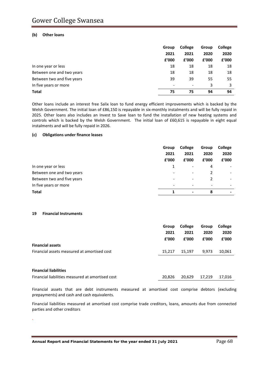### **(b) Other loans**

|                            | Group         | College                  | Group         | College |
|----------------------------|---------------|--------------------------|---------------|---------|
|                            | 2021<br>£'000 | 2021<br>f'000            | 2020<br>f'000 | 2020    |
|                            |               |                          |               | £'000   |
| In one year or less        | 18            | 18                       | 18            | 18      |
| Between one and two years  | 18            | 18                       | 18            | 18      |
| Between two and five years | 39            | 39                       | 55            | 55      |
| In five years or more      | -             | $\overline{\phantom{a}}$ | 3             |         |
| Total                      | 75            | 75                       | 94            | 94      |

Other loans include an interest free Salix loan to fund energy efficient improvements which is backed by the Welsh Government. The initial loan of £86,150 is repayable in six-monthly instalments and will be fully repaid in 2025. Other loans also includes an Invest to Save loan to fund the installation of new heating systems and controls which is backed by the Welsh Government. The initial loan of £60,615 is repayable in eight equal instalments and will be fully repaid in 2026.

### **(c) Obligations under finance leases**

|                            | Group                    | College                  | Group                    | College                  |
|----------------------------|--------------------------|--------------------------|--------------------------|--------------------------|
|                            | 2021                     | 2021                     | 2020                     | 2020                     |
|                            | £'000                    | f'000                    | £'000                    | £'000                    |
| In one year or less        |                          | -                        | 4                        |                          |
| Between one and two years  | ٠                        | $\overline{\phantom{a}}$ |                          | $\overline{\phantom{a}}$ |
| Between two and five years | $\overline{\phantom{a}}$ | $\overline{\phantom{a}}$ |                          | $\overline{\phantom{a}}$ |
| In five years or more      | $\overline{\phantom{a}}$ | $\overline{\phantom{0}}$ | $\overline{\phantom{a}}$ | $\overline{\phantom{a}}$ |
| <b>Total</b>               |                          | $\blacksquare$           | 8                        | $\,$                     |

### **19 Financial Instruments**

|                                             | Group  | College | Group | College |
|---------------------------------------------|--------|---------|-------|---------|
|                                             | 2021   | 2021    | 2020  | 2020    |
|                                             | £'000  | f'000   | f'000 | £'000   |
| <b>Financial assets</b>                     |        |         |       |         |
| Financial assets measured at amortised cost | 15.217 | 15.197  | 9.973 | 10.061  |

#### **Financial liabilities**

.

| Financial liabilities measured at amortised cost<br>20,826 20,629 17,219 17,016 |  |  |
|---------------------------------------------------------------------------------|--|--|
|---------------------------------------------------------------------------------|--|--|

Financial assets that are debt instruments measured at amortised cost comprise debtors (excluding prepayments) and cash and cash equivalents.

Financial liabilities measured at amortised cost comprise trade creditors, loans, amounts due from connected parties and other creditors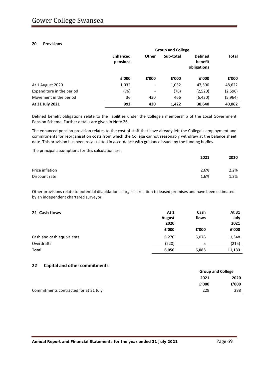## **20 Provisions**

|                           | <b>Group and College</b>    |                          |           |                                          |              |  |
|---------------------------|-----------------------------|--------------------------|-----------|------------------------------------------|--------------|--|
|                           | <b>Enhanced</b><br>pensions | Other                    | Sub-total | <b>Defined</b><br>benefit<br>obligations | <b>Total</b> |  |
|                           | f'000                       | f'000                    | f'000     | £'000                                    | f'000        |  |
| At 1 August 2020          | 1,032                       | $\overline{\phantom{a}}$ | 1,032     | 47,590                                   | 48,622       |  |
| Expenditure in the period | (76)                        | $\overline{\phantom{a}}$ | (76)      | (2,520)                                  | (2, 596)     |  |
| Movement in the period    | 36                          | 430                      | 466       | (6, 430)                                 | (5,964)      |  |
| At 31 July 2021           | 992                         | 430                      | 1,422     | 38,640                                   | 40,062       |  |

Defined benefit obligations relate to the liabilities under the College's membership of the Local Government Pension Scheme. Further details are given in Note 26.

The enhanced pension provision relates to the cost of staff that have already left the College's employment and commitments for reorganisation costs from which the College cannot reasonably withdraw at the balance sheet date. This provision has been recalculated in accordance with guidance issued by the funding bodies.

The principal assumptions for this calculation are:

|                 | 2021 | 2020 |
|-----------------|------|------|
| Price inflation | 2.6% | 2.2% |
| Discount rate   | 1.6% | 1.3% |

Other provisions relate to potential dilapidation charges in relation to leased premises and have been estimated by an independent chartered surveyor.

| 21 Cash flows             | At 1<br>August<br>2020 | Cash<br>flows | At 31<br>July<br>2021 |
|---------------------------|------------------------|---------------|-----------------------|
|                           | £'000                  | f'000         | £'000                 |
| Cash and cash equivalents | 6,270                  | 5,078         | 11,348                |
| Overdrafts                | (220)                  | 5             | (215)                 |
| <b>Total</b>              | 6,050                  | 5,083         | 11,133                |

### **22 Capital and other commitments**

|                                       | <b>Group and College</b> |       |  |
|---------------------------------------|--------------------------|-------|--|
|                                       | 2021                     | 2020  |  |
|                                       | f'000                    | £'000 |  |
| Commitments contracted for at 31 July | 229                      | 288   |  |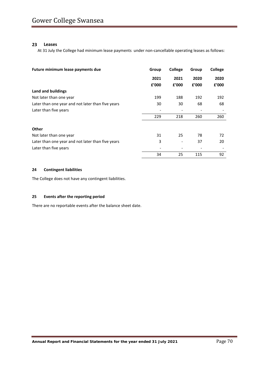## **23 Leases**

At 31 July the College had minimum lease payments under non-cancellable operating leases as follows:

| Future minimum lease payments due                 | Group | <b>College</b> | Group | College |
|---------------------------------------------------|-------|----------------|-------|---------|
|                                                   | 2021  | 2021           | 2020  | 2020    |
|                                                   | £'000 | f'000          | f'000 | f'000   |
| Land and buildings                                |       |                |       |         |
| Not later than one year                           | 199   | 188            | 192   | 192     |
| Later than one year and not later than five years | 30    | 30             | 68    | 68      |
| Later than five years                             |       |                |       |         |
|                                                   | 229   | 218            | 260   | 260     |
| Other                                             |       |                |       |         |
| Not later than one year                           | 31    | 25             | 78    | 72      |
| Later than one year and not later than five years | 3     | -              | 37    | 20      |
| Later than five years                             |       |                |       |         |
|                                                   | 34    | 25             | 115   | 92      |

## **24 Contingent liabilities**

The College does not have any contingent liabilities.

# **25 Events after the reporting period**

There are no reportable events after the balance sheet date.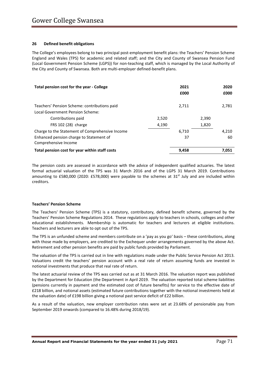## **26 Defined benefit obligations**

The College's employees belong to two principal post-employment benefit plans: the Teachers' Pension Scheme England and Wales (TPS) for academic and related staff; and the City and County of Swansea Pension Fund (Local Government Pension Scheme (LGPS)) for non-teaching staff, which is managed by the Local Authority of the City and County of Swansea. Both are multi-employer defined-benefit plans.

| Total pension cost for the year - College       |       | 2021<br>£000 |       | 2020<br>£000 |
|-------------------------------------------------|-------|--------------|-------|--------------|
| Teachers' Pension Scheme: contributions paid    |       | 2.711        |       | 2,781        |
| Local Government Pension Scheme:                |       |              |       |              |
| Contributions paid                              | 2.520 |              | 2,390 |              |
| FRS 102 (28) charge                             | 4,190 |              | 1,820 |              |
| Charge to the Statement of Comprehensive Income |       | 6.710        |       | 4.210        |
| Enhanced pension charge to Statement of         |       | 37           |       | 60           |
| Comprehensive Income                            |       |              |       |              |
| Total pension cost for year within staff costs  |       | 9,458        |       | 7.051        |

The pension costs are assessed in accordance with the advice of independent qualified actuaries. The latest formal actuarial valuation of the TPS was 31 March 2016 and of the LGPS 31 March 2019. Contributions amounting to £580,000 (2020: £578,000) were payable to the schemes at 31<sup>st</sup> July and are included within creditors.

### **Teachers' Pension Scheme**

The Teachers' Pension Scheme (TPS) is a statutory, contributory, defined benefit scheme, governed by the Teachers' Pension Scheme Regulations 2014. These regulations apply to teachers in schools, colleges and other educational establishments. Membership is automatic for teachers and lecturers at eligible institutions. Teachers and lecturers are able to opt out of the TPS.

The TPS is an unfunded scheme and members contribute on a 'pay as you go' basis – these contributions, along with those made by employers, are credited to the Exchequer under arrangements governed by the above Act. Retirement and other pension benefits are paid by public funds provided by Parliament.

The valuation of the TPS is carried out in line with regulations made under the Public Service Pension Act 2013. Valuations credit the teachers' pension account with a real rate of return assuming funds are invested in notional investments that produce that real rate of return.

The latest actuarial review of the TPS was carried out as at 31 March 2016. The valuation report was published by the Department for Education (the Department in April 2019. The valuation reported total scheme liabilities (pensions currently in payment and the estimated cost of future benefits) for service to the effective date of £218 billion, and notional assets (estimated future contributions together with the notional investments held at the valuation date) of £198 billion giving a notional past service deficit of £22 billion.

As a result of the valuation, new employer contribution rates were set at 23.68% of pensionable pay from September 2019 onwards (compared to 16.48% during 2018/19).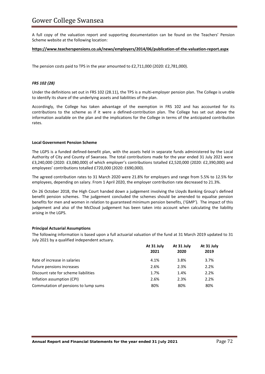# Gower College Swansea

A full copy of the valuation report and supporting documentation can be found on the Teachers' Pension Scheme website at the following location:

#### **<https://www.teacherspensions.co.uk/news/employers/2014/06/publication-of-the-valuation-report.aspx>**

The pension costs paid to TPS in the year amounted to £2,711,000 (2020: £2,781,000).

### *FRS 102 (28)*

Under the definitions set out in FRS 102 (28.11), the TPS is a multi-employer pension plan. The College is unable to identify its share of the underlying assets and liabilities of the plan.

Accordingly, the College has taken advantage of the exemption in FRS 102 and has accounted for its contributions to the scheme as if it were a defined-contribution plan. The College has set out above the information available on the plan and the implications for the College in terms of the anticipated contribution rates.

#### **Local Government Pension Scheme**

The LGPS is a funded defined-benefit plan, with the assets held in separate funds administered by the Local Authority of City and County of Swansea. The total contributions made for the year ended 31 July 2021 were £3,240,000 (2020: £3,080,000) of which employer's contributions totalled £2,520,000 (2020: £2,390,000) and employees' contributions totalled £720,000 (2020: £690,000).

The agreed contribution rates to 31 March 2020 were 21.8% for employers and range from 5.5% to 12.5% for employees, depending on salary. From 1 April 2020, the employer contribution rate decreased to 21.3%.

On 26 October 2018, the High Court handed down a judgement involving the Lloyds Banking Group's defined benefit pension schemes. The judgement concluded the schemes should be amended to equalise pension benefits for men and women in relation to guaranteed minimum pension benefits, ('GMP'). The impact of this judgement and also of the McCloud judgement has been taken into account when calculating the liability arising in the LGPS.

### **Principal Actuarial Assumptions**

The following information is based upon a full actuarial valuation of the fund at 31 March 2019 updated to 31 July 2021 by a qualified independent actuary.

|                                      | At 31 July<br>2021 | At 31 July<br>2020 | At 31 July<br>2019 |
|--------------------------------------|--------------------|--------------------|--------------------|
| Rate of increase in salaries         | 4.1%               | 3.8%               | 3.7%               |
| Future pensions increases            | 2.6%               | 2.3%               | 2.2%               |
| Discount rate for scheme liabilities | 1.7%               | 1.4%               | 2.2%               |
| Inflation assumption (CPI)           | 2.6%               | 2.3%               | 2.2%               |
| Commutation of pensions to lump sums | 80%                | 80%                | 80%                |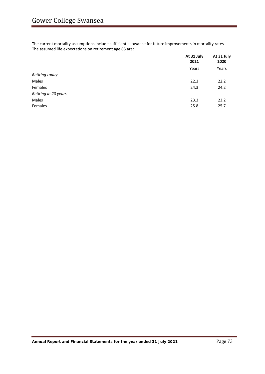The current mortality assumptions include sufficient allowance for future improvements in mortality rates. The assumed life expectations on retirement age 65 are:

|                      | At 31 July<br>2021 | At 31 July<br>2020<br>Years |
|----------------------|--------------------|-----------------------------|
|                      | Years              |                             |
| Retiring today       |                    |                             |
| Males                | 22.3               | 22.2                        |
| Females              | 24.3               | 24.2                        |
| Retiring in 20 years |                    |                             |
| Males                | 23.3               | 23.2                        |
| Females              | 25.8               | 25.7                        |
|                      |                    |                             |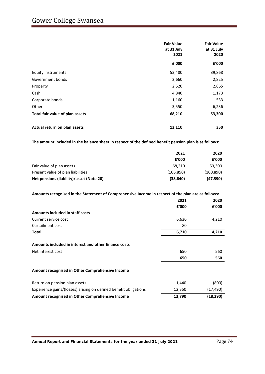# Gower College Swansea

|                                 | <b>Fair Value</b><br>at 31 July<br>2021 | <b>Fair Value</b><br>at 31 July<br>2020 |  |
|---------------------------------|-----------------------------------------|-----------------------------------------|--|
|                                 | £'000                                   | £'000                                   |  |
| Equity instruments              | 53,480                                  | 39,868                                  |  |
| Government bonds                | 2,660                                   | 2,825                                   |  |
| Property                        | 2,520                                   | 2,665                                   |  |
| Cash                            | 4,840                                   | 1,173                                   |  |
| Corporate bonds                 | 1,160                                   | 533                                     |  |
| Other                           | 3,550                                   | 6,236                                   |  |
| Total fair value of plan assets | 68,210                                  | 53,300                                  |  |
| Actual return on plan assets    | 13,110                                  | 350                                     |  |

**The amount included in the balance sheet in respect of the defined benefit pension plan is as follows:**

|                                          | 2021       | 2020       |
|------------------------------------------|------------|------------|
|                                          | £'000      | £'000      |
| Fair value of plan assets                | 68.210     | 53,300     |
| Present value of plan liabilities        | (106, 850) | (100, 890) |
| Net pensions (liability)/asset (Note 20) | (38, 640)  | (47, 590)  |
|                                          |            |            |

| Amounts recognised in the Statement of Comprehensive Income in respect of the plan are as follows: |  |
|----------------------------------------------------------------------------------------------------|--|
|                                                                                                    |  |

|                                                                  | 2021   | 2020      |
|------------------------------------------------------------------|--------|-----------|
|                                                                  | £'000  | f'000     |
| Amounts included in staff costs                                  |        |           |
| Current service cost                                             | 6,630  | 4,210     |
| Curtailment cost                                                 | 80     |           |
| Total                                                            | 6,710  | 4,210     |
| Amounts included in interest and other finance costs             |        |           |
| Net interest cost                                                | 650    | 560       |
|                                                                  | 650    | 560       |
| Amount recognised in Other Comprehensive Income                  |        |           |
| Return on pension plan assets                                    | 1,440  | (800)     |
| Experience gains/(losses) arising on defined benefit obligations | 12,350 | (17, 490) |
| Amount recognised in Other Comprehensive Income                  | 13,790 | (18,290)  |

**Annual Report and Financial Statements for the year ended 31 July 2021** Page 74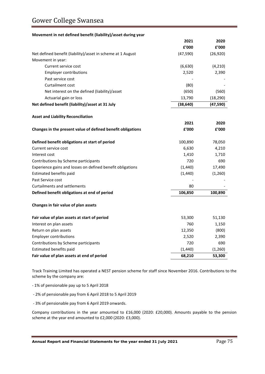# Gower College Swansea

#### **Movement in net defined benefit (liability)/asset during year**

|                                                             | 2021      | 2020      |
|-------------------------------------------------------------|-----------|-----------|
|                                                             | £'000     | £'000     |
| Net defined benefit (liability)/asset in scheme at 1 August | (47, 590) | (26, 920) |
| Movement in year:                                           |           |           |
| Current service cost                                        | (6,630)   | (4, 210)  |
| <b>Employer contributions</b>                               | 2,520     | 2,390     |
| Past service cost                                           |           |           |
| <b>Curtailment cost</b>                                     | (80)      |           |
| Net interest on the defined (liability)/asset               | (650)     | (560)     |
| Actuarial gain or loss                                      | 13,790    | (18, 290) |
| Net defined benefit (liability)/asset at 31 July            | (38, 640) | (47, 590) |
| <b>Asset and Liability Reconciliation</b>                   |           |           |
|                                                             | 2021      | 2020      |
| Changes in the present value of defined benefit obligations | £'000     | £'000     |
|                                                             |           |           |
| Defined benefit obligations at start of period              | 100,890   | 78,050    |
| Current service cost                                        | 6,630     | 4,210     |
| Interest cost                                               | 1,410     | 1,710     |
| Contributions by Scheme participants                        | 720       | 690       |
| Experience gains and losses on defined benefit obligations  | (1,440)   | 17,490    |
| Estimated benefits paid                                     | (1, 440)  | (1,260)   |
| Past Service cost                                           |           |           |
| <b>Curtailments and settlements</b>                         | 80        |           |
| Defined benefit obligations at end of period                | 106,850   | 100,890   |
| Changes in fair value of plan assets                        |           |           |
| Fair value of plan assets at start of period                | 53,300    | 51,130    |
| Interest on plan assets                                     | 760       | 1,150     |
| Return on plan assets                                       | 12,350    | (800)     |
| <b>Employer contributions</b>                               | 2,520     | 2,390     |
| Contributions by Scheme participants                        | 720       | 690       |
| Estimated benefits paid                                     | (1, 440)  | (1,260)   |
| Fair value of plan assets at end of period                  | 68,210    | 53,300    |

Track Training Limited has operated a NEST pension scheme for staff since November 2016. Contributions to the scheme by the company are:

- 1% of pensionable pay up to 5 April 2018

- 2% of pensionable pay from 6 April 2018 to 5 April 2019

- 3% of pensionable pay from 6 April 2019 onwards.

Company contributions in the year amounted to £16,000 (2020: £20,000). Amounts payable to the pension scheme at the year end amounted to £2,000 (2020: £3,000).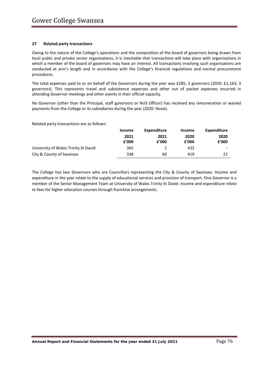## **27 Related party transactions**

Owing to the nature of the College's operations and the composition of the board of governors being drawn from local public and private sector organisations, it is inevitable that transactions will take place with organisations in which a member of the board of governors may have an interest. All transactions involving such organisations are conducted at arm's length and in accordance with the College's financial regulations and normal procurement procedures.

The total expenses paid to or on behalf of the Governors during the year was £285; 2 governors (2020: £1,163; 3 governors). This represents travel and subsistence expenses and other out of pocket expenses incurred in attending Governor meetings and other events in their official capacity.

No Governor (other than the Principal, staff governors or NUS Officer) has received any remuneration or waived payments from the College or its subsidiaries during the year (2020: None).

Related party transactions are as follows:

|                                      | Income | Expenditure | Income | Expenditure |
|--------------------------------------|--------|-------------|--------|-------------|
|                                      | 2021   | 2021        | 2020   | 2020        |
|                                      | f'000  | £'000       | £'000  | £'000       |
| University of Wales Trinity St David | 365    |             | 432    | ۰           |
| City & County of Swansea             | 338    | 60          | 419    | 21          |

The College has two Governors who are Councillors representing the City & County of Swansea. Income and expenditure in the year relate to the supply of educational services and provision of transport. One Governor is a member of the Senior Management Team at University of Wales Trinity St David. Income and expenditure relate to fees for higher education courses through franchise arrangements.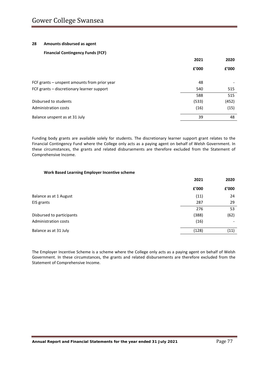#### **28 Amounts disbursed as agent**

## **Financial Contingency Funds (FCF)**

|                                              | 2021  | 2020  |
|----------------------------------------------|-------|-------|
|                                              | £'000 | £'000 |
| FCF grants - unspent amounts from prior year | 48    |       |
| FCF grants - discretionary learner support   | 540   | 515   |
|                                              | 588   | 515   |
| Disbursed to students                        | (533) | (452) |
| Administration costs                         | (16)  | (15)  |
| Balance unspent as at 31 July                | 39    | 48    |
|                                              |       |       |

Funding body grants are available solely for students. The discretionary learner support grant relates to the Financial Contingency Fund where the College only acts as a paying agent on behalf of Welsh Government. In these circumstances, the grants and related disbursements are therefore excluded from the Statement of Comprehensive Income.

#### **Work Based Learning Employer Incentive scheme**

|                           | 2021  | 2020  |
|---------------------------|-------|-------|
|                           | £'000 | £'000 |
| Balance as at 1 August    | (11)  | 24    |
| EIS grants                | 287   | 29    |
|                           | 276   | 53    |
| Disbursed to participants | (388) | (62)  |
| Administration costs      | (16)  |       |
| Balance as at 31 July     | (128) | (11)  |

The Employer Incentive Scheme is a scheme where the College only acts as a paying agent on behalf of Welsh Government. In these circumstances, the grants and related disbursements are therefore excluded from the Statement of Comprehensive Income.